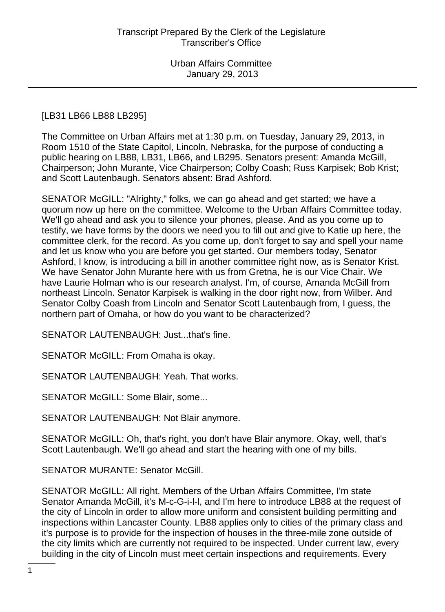## [LB31 LB66 LB88 LB295]

The Committee on Urban Affairs met at 1:30 p.m. on Tuesday, January 29, 2013, in Room 1510 of the State Capitol, Lincoln, Nebraska, for the purpose of conducting a public hearing on LB88, LB31, LB66, and LB295. Senators present: Amanda McGill, Chairperson; John Murante, Vice Chairperson; Colby Coash; Russ Karpisek; Bob Krist; and Scott Lautenbaugh. Senators absent: Brad Ashford.

SENATOR McGILL: "Alrighty," folks, we can go ahead and get started; we have a quorum now up here on the committee. Welcome to the Urban Affairs Committee today. We'll go ahead and ask you to silence your phones, please. And as you come up to testify, we have forms by the doors we need you to fill out and give to Katie up here, the committee clerk, for the record. As you come up, don't forget to say and spell your name and let us know who you are before you get started. Our members today, Senator Ashford, I know, is introducing a bill in another committee right now, as is Senator Krist. We have Senator John Murante here with us from Gretna, he is our Vice Chair. We have Laurie Holman who is our research analyst. I'm, of course, Amanda McGill from northeast Lincoln. Senator Karpisek is walking in the door right now, from Wilber. And Senator Colby Coash from Lincoln and Senator Scott Lautenbaugh from, I guess, the northern part of Omaha, or how do you want to be characterized?

SENATOR LAUTENBAUGH: Just...that's fine.

SENATOR McGILL: From Omaha is okay.

SENATOR LAUTENBAUGH: Yeah. That works.

SENATOR McGILL: Some Blair, some...

SENATOR LAUTENBAUGH: Not Blair anymore.

SENATOR McGILL: Oh, that's right, you don't have Blair anymore. Okay, well, that's Scott Lautenbaugh. We'll go ahead and start the hearing with one of my bills.

SENATOR MURANTE: Senator McGill.

SENATOR McGILL: All right. Members of the Urban Affairs Committee, I'm state Senator Amanda McGill, it's M-c-G-i-l-l, and I'm here to introduce LB88 at the request of the city of Lincoln in order to allow more uniform and consistent building permitting and inspections within Lancaster County. LB88 applies only to cities of the primary class and it's purpose is to provide for the inspection of houses in the three-mile zone outside of the city limits which are currently not required to be inspected. Under current law, every building in the city of Lincoln must meet certain inspections and requirements. Every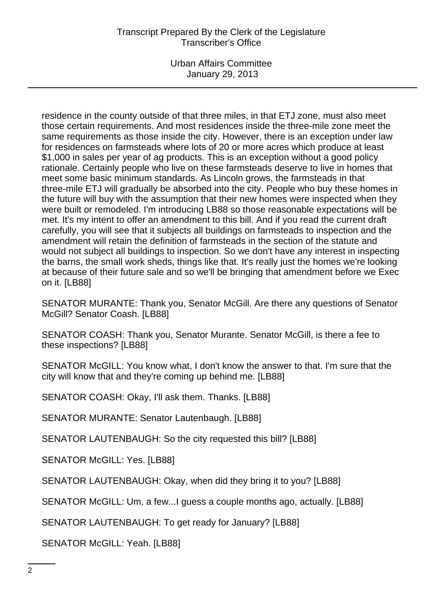Urban Affairs Committee January 29, 2013

residence in the county outside of that three miles, in that ETJ zone, must also meet those certain requirements. And most residences inside the three-mile zone meet the same requirements as those inside the city. However, there is an exception under law for residences on farmsteads where lots of 20 or more acres which produce at least \$1,000 in sales per year of ag products. This is an exception without a good policy rationale. Certainly people who live on these farmsteads deserve to live in homes that meet some basic minimum standards. As Lincoln grows, the farmsteads in that three-mile ETJ will gradually be absorbed into the city. People who buy these homes in the future will buy with the assumption that their new homes were inspected when they were built or remodeled. I'm introducing LB88 so those reasonable expectations will be met. It's my intent to offer an amendment to this bill. And if you read the current draft carefully, you will see that it subjects all buildings on farmsteads to inspection and the amendment will retain the definition of farmsteads in the section of the statute and would not subject all buildings to inspection. So we don't have any interest in inspecting the barns, the small work sheds, things like that. It's really just the homes we're looking at because of their future sale and so we'll be bringing that amendment before we Exec on it. [LB88]

SENATOR MURANTE: Thank you, Senator McGill. Are there any questions of Senator McGill? Senator Coash. [LB88]

SENATOR COASH: Thank you, Senator Murante. Senator McGill, is there a fee to these inspections? [LB88]

SENATOR McGILL: You know what, I don't know the answer to that. I'm sure that the city will know that and they're coming up behind me. [LB88]

SENATOR COASH: Okay, I'll ask them. Thanks. [LB88]

SENATOR MURANTE: Senator Lautenbaugh. [LB88]

SENATOR LAUTENBAUGH: So the city requested this bill? [LB88]

SENATOR McGILL: Yes. [LB88]

SENATOR LAUTENBAUGH: Okay, when did they bring it to you? [LB88]

SENATOR McGILL: Um, a few...I guess a couple months ago, actually. [LB88]

SENATOR LAUTENBAUGH: To get ready for January? [LB88]

SENATOR McGILL: Yeah. [LB88]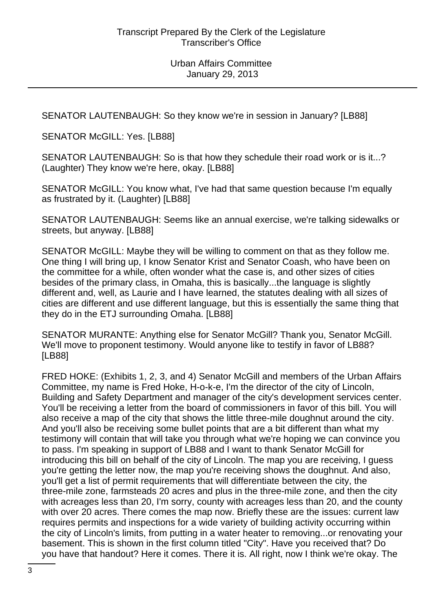SENATOR LAUTENBAUGH: So they know we're in session in January? [LB88]

SENATOR McGILL: Yes. [LB88]

SENATOR LAUTENBAUGH: So is that how they schedule their road work or is it...? (Laughter) They know we're here, okay. [LB88]

SENATOR McGILL: You know what, I've had that same question because I'm equally as frustrated by it. (Laughter) [LB88]

SENATOR LAUTENBAUGH: Seems like an annual exercise, we're talking sidewalks or streets, but anyway. [LB88]

SENATOR McGILL: Maybe they will be willing to comment on that as they follow me. One thing I will bring up, I know Senator Krist and Senator Coash, who have been on the committee for a while, often wonder what the case is, and other sizes of cities besides of the primary class, in Omaha, this is basically...the language is slightly different and, well, as Laurie and I have learned, the statutes dealing with all sizes of cities are different and use different language, but this is essentially the same thing that they do in the ETJ surrounding Omaha. [LB88]

SENATOR MURANTE: Anything else for Senator McGill? Thank you, Senator McGill. We'll move to proponent testimony. Would anyone like to testify in favor of LB88? [LB88]

FRED HOKE: (Exhibits 1, 2, 3, and 4) Senator McGill and members of the Urban Affairs Committee, my name is Fred Hoke, H-o-k-e, I'm the director of the city of Lincoln, Building and Safety Department and manager of the city's development services center. You'll be receiving a letter from the board of commissioners in favor of this bill. You will also receive a map of the city that shows the little three-mile doughnut around the city. And you'll also be receiving some bullet points that are a bit different than what my testimony will contain that will take you through what we're hoping we can convince you to pass. I'm speaking in support of LB88 and I want to thank Senator McGill for introducing this bill on behalf of the city of Lincoln. The map you are receiving, I guess you're getting the letter now, the map you're receiving shows the doughnut. And also, you'll get a list of permit requirements that will differentiate between the city, the three-mile zone, farmsteads 20 acres and plus in the three-mile zone, and then the city with acreages less than 20, I'm sorry, county with acreages less than 20, and the county with over 20 acres. There comes the map now. Briefly these are the issues: current law requires permits and inspections for a wide variety of building activity occurring within the city of Lincoln's limits, from putting in a water heater to removing...or renovating your basement. This is shown in the first column titled "City". Have you received that? Do you have that handout? Here it comes. There it is. All right, now I think we're okay. The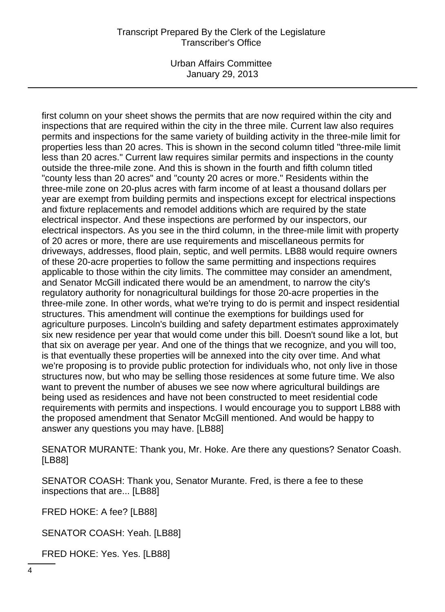Urban Affairs Committee January 29, 2013

first column on your sheet shows the permits that are now required within the city and inspections that are required within the city in the three mile. Current law also requires permits and inspections for the same variety of building activity in the three-mile limit for properties less than 20 acres. This is shown in the second column titled "three-mile limit less than 20 acres." Current law requires similar permits and inspections in the county outside the three-mile zone. And this is shown in the fourth and fifth column titled "county less than 20 acres" and "county 20 acres or more." Residents within the three-mile zone on 20-plus acres with farm income of at least a thousand dollars per year are exempt from building permits and inspections except for electrical inspections and fixture replacements and remodel additions which are required by the state electrical inspector. And these inspections are performed by our inspectors, our electrical inspectors. As you see in the third column, in the three-mile limit with property of 20 acres or more, there are use requirements and miscellaneous permits for driveways, addresses, flood plain, septic, and well permits. LB88 would require owners of these 20-acre properties to follow the same permitting and inspections requires applicable to those within the city limits. The committee may consider an amendment, and Senator McGill indicated there would be an amendment, to narrow the city's regulatory authority for nonagricultural buildings for those 20-acre properties in the three-mile zone. In other words, what we're trying to do is permit and inspect residential structures. This amendment will continue the exemptions for buildings used for agriculture purposes. Lincoln's building and safety department estimates approximately six new residence per year that would come under this bill. Doesn't sound like a lot, but that six on average per year. And one of the things that we recognize, and you will too, is that eventually these properties will be annexed into the city over time. And what we're proposing is to provide public protection for individuals who, not only live in those structures now, but who may be selling those residences at some future time. We also want to prevent the number of abuses we see now where agricultural buildings are being used as residences and have not been constructed to meet residential code requirements with permits and inspections. I would encourage you to support LB88 with the proposed amendment that Senator McGill mentioned. And would be happy to answer any questions you may have. [LB88]

SENATOR MURANTE: Thank you, Mr. Hoke. Are there any questions? Senator Coash. [LB88]

SENATOR COASH: Thank you, Senator Murante. Fred, is there a fee to these inspections that are... [LB88]

FRED HOKE: A fee? [LB88]

SENATOR COASH: Yeah. [LB88]

FRED HOKE: Yes. Yes. [LB88]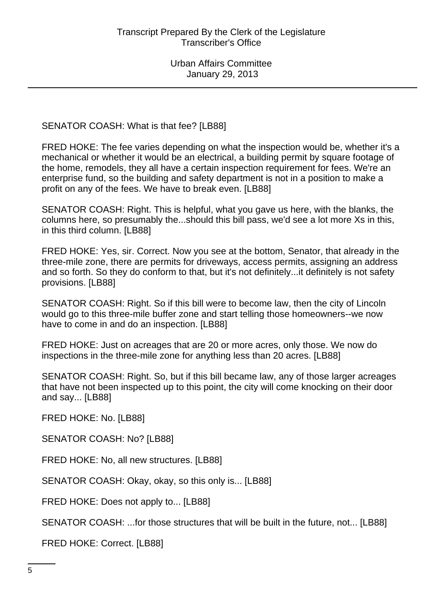SENATOR COASH: What is that fee? [LB88]

FRED HOKE: The fee varies depending on what the inspection would be, whether it's a mechanical or whether it would be an electrical, a building permit by square footage of the home, remodels, they all have a certain inspection requirement for fees. We're an enterprise fund, so the building and safety department is not in a position to make a profit on any of the fees. We have to break even. [LB88]

SENATOR COASH: Right. This is helpful, what you gave us here, with the blanks, the columns here, so presumably the...should this bill pass, we'd see a lot more Xs in this, in this third column. [LB88]

FRED HOKE: Yes, sir. Correct. Now you see at the bottom, Senator, that already in the three-mile zone, there are permits for driveways, access permits, assigning an address and so forth. So they do conform to that, but it's not definitely...it definitely is not safety provisions. [LB88]

SENATOR COASH: Right. So if this bill were to become law, then the city of Lincoln would go to this three-mile buffer zone and start telling those homeowners--we now have to come in and do an inspection. [LB88]

FRED HOKE: Just on acreages that are 20 or more acres, only those. We now do inspections in the three-mile zone for anything less than 20 acres. [LB88]

SENATOR COASH: Right. So, but if this bill became law, any of those larger acreages that have not been inspected up to this point, the city will come knocking on their door and say... [LB88]

FRED HOKE: No. [LB88]

SENATOR COASH: No? [LB88]

FRED HOKE: No, all new structures. [LB88]

SENATOR COASH: Okay, okay, so this only is... [LB88]

FRED HOKE: Does not apply to... [LB88]

SENATOR COASH: ...for those structures that will be built in the future, not... [LB88]

FRED HOKE: Correct. [LB88]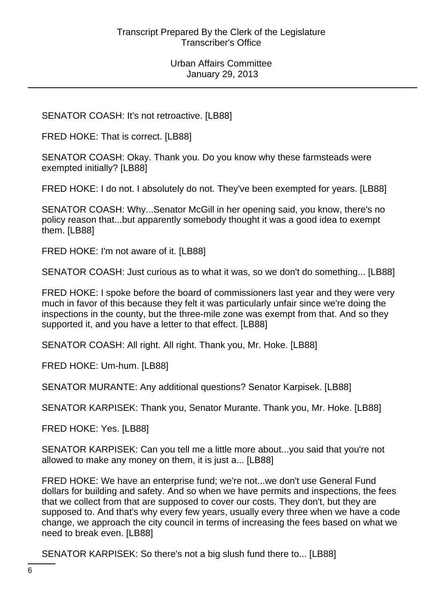SENATOR COASH: It's not retroactive. [LB88]

FRED HOKE: That is correct. [LB88]

SENATOR COASH: Okay. Thank you. Do you know why these farmsteads were exempted initially? [LB88]

FRED HOKE: I do not. I absolutely do not. They've been exempted for years. [LB88]

SENATOR COASH: Why...Senator McGill in her opening said, you know, there's no policy reason that...but apparently somebody thought it was a good idea to exempt them. [LB88]

FRED HOKE: I'm not aware of it. [LB88]

SENATOR COASH: Just curious as to what it was, so we don't do something... [LB88]

FRED HOKE: I spoke before the board of commissioners last year and they were very much in favor of this because they felt it was particularly unfair since we're doing the inspections in the county, but the three-mile zone was exempt from that. And so they supported it, and you have a letter to that effect. [LB88]

SENATOR COASH: All right. All right. Thank you, Mr. Hoke. [LB88]

FRED HOKE: Um-hum. [LB88]

SENATOR MURANTE: Any additional questions? Senator Karpisek. [LB88]

SENATOR KARPISEK: Thank you, Senator Murante. Thank you, Mr. Hoke. [LB88]

FRED HOKE: Yes. [LB88]

SENATOR KARPISEK: Can you tell me a little more about...you said that you're not allowed to make any money on them, it is just a... [LB88]

FRED HOKE: We have an enterprise fund; we're not...we don't use General Fund dollars for building and safety. And so when we have permits and inspections, the fees that we collect from that are supposed to cover our costs. They don't, but they are supposed to. And that's why every few years, usually every three when we have a code change, we approach the city council in terms of increasing the fees based on what we need to break even. [LB88]

SENATOR KARPISEK: So there's not a big slush fund there to... [LB88]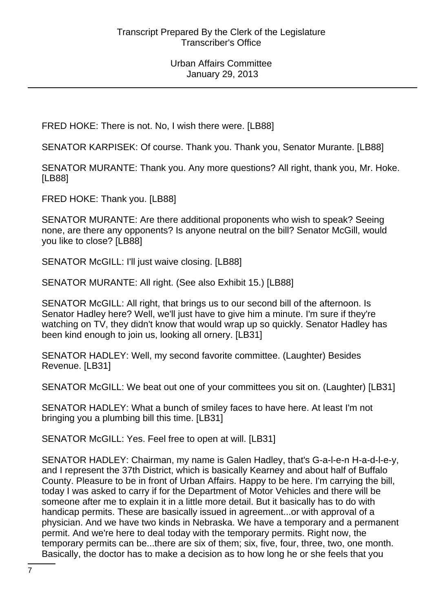FRED HOKE: There is not. No, I wish there were. [LB88]

SENATOR KARPISEK: Of course. Thank you. Thank you, Senator Murante. [LB88]

SENATOR MURANTE: Thank you. Any more questions? All right, thank you, Mr. Hoke. [LB88]

FRED HOKE: Thank you. [LB88]

SENATOR MURANTE: Are there additional proponents who wish to speak? Seeing none, are there any opponents? Is anyone neutral on the bill? Senator McGill, would you like to close? [LB88]

SENATOR McGILL: I'll just waive closing. [LB88]

SENATOR MURANTE: All right. (See also Exhibit 15.) [LB88]

SENATOR McGILL: All right, that brings us to our second bill of the afternoon. Is Senator Hadley here? Well, we'll just have to give him a minute. I'm sure if they're watching on TV, they didn't know that would wrap up so quickly. Senator Hadley has been kind enough to join us, looking all ornery. [LB31]

SENATOR HADLEY: Well, my second favorite committee. (Laughter) Besides Revenue. [LB31]

SENATOR McGILL: We beat out one of your committees you sit on. (Laughter) [LB31]

SENATOR HADLEY: What a bunch of smiley faces to have here. At least I'm not bringing you a plumbing bill this time. [LB31]

SENATOR McGILL: Yes. Feel free to open at will. [LB31]

SENATOR HADLEY: Chairman, my name is Galen Hadley, that's G-a-l-e-n H-a-d-l-e-y, and I represent the 37th District, which is basically Kearney and about half of Buffalo County. Pleasure to be in front of Urban Affairs. Happy to be here. I'm carrying the bill, today I was asked to carry if for the Department of Motor Vehicles and there will be someone after me to explain it in a little more detail. But it basically has to do with handicap permits. These are basically issued in agreement...or with approval of a physician. And we have two kinds in Nebraska. We have a temporary and a permanent permit. And we're here to deal today with the temporary permits. Right now, the temporary permits can be...there are six of them; six, five, four, three, two, one month. Basically, the doctor has to make a decision as to how long he or she feels that you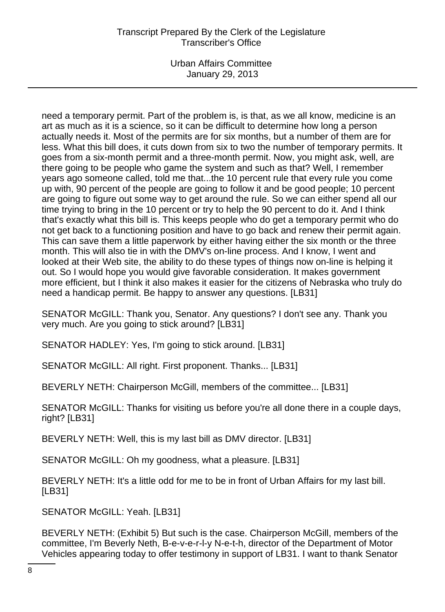Urban Affairs Committee January 29, 2013

need a temporary permit. Part of the problem is, is that, as we all know, medicine is an art as much as it is a science, so it can be difficult to determine how long a person actually needs it. Most of the permits are for six months, but a number of them are for less. What this bill does, it cuts down from six to two the number of temporary permits. It goes from a six-month permit and a three-month permit. Now, you might ask, well, are there going to be people who game the system and such as that? Well, I remember years ago someone called, told me that...the 10 percent rule that every rule you come up with, 90 percent of the people are going to follow it and be good people; 10 percent are going to figure out some way to get around the rule. So we can either spend all our time trying to bring in the 10 percent or try to help the 90 percent to do it. And I think that's exactly what this bill is. This keeps people who do get a temporary permit who do not get back to a functioning position and have to go back and renew their permit again. This can save them a little paperwork by either having either the six month or the three month. This will also tie in with the DMV's on-line process. And I know, I went and looked at their Web site, the ability to do these types of things now on-line is helping it out. So I would hope you would give favorable consideration. It makes government more efficient, but I think it also makes it easier for the citizens of Nebraska who truly do need a handicap permit. Be happy to answer any questions. [LB31]

SENATOR McGILL: Thank you, Senator. Any questions? I don't see any. Thank you very much. Are you going to stick around? [LB31]

SENATOR HADLEY: Yes, I'm going to stick around. [LB31]

SENATOR McGILL: All right. First proponent. Thanks... [LB31]

BEVERLY NETH: Chairperson McGill, members of the committee... [LB31]

SENATOR McGILL: Thanks for visiting us before you're all done there in a couple days, right? [LB31]

BEVERLY NETH: Well, this is my last bill as DMV director. [LB31]

SENATOR McGILL: Oh my goodness, what a pleasure. [LB31]

BEVERLY NETH: It's a little odd for me to be in front of Urban Affairs for my last bill. [LB31]

SENATOR McGILL: Yeah. [LB31]

BEVERLY NETH: (Exhibit 5) But such is the case. Chairperson McGill, members of the committee, I'm Beverly Neth, B-e-v-e-r-l-y N-e-t-h, director of the Department of Motor Vehicles appearing today to offer testimony in support of LB31. I want to thank Senator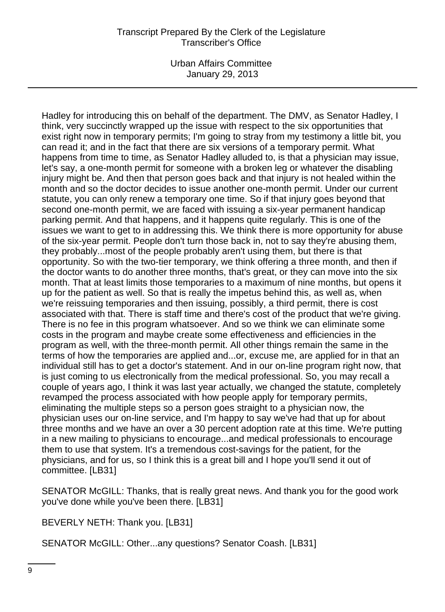Urban Affairs Committee January 29, 2013

Hadley for introducing this on behalf of the department. The DMV, as Senator Hadley, I think, very succinctly wrapped up the issue with respect to the six opportunities that exist right now in temporary permits; I'm going to stray from my testimony a little bit, you can read it; and in the fact that there are six versions of a temporary permit. What happens from time to time, as Senator Hadley alluded to, is that a physician may issue, let's say, a one-month permit for someone with a broken leg or whatever the disabling injury might be. And then that person goes back and that injury is not healed within the month and so the doctor decides to issue another one-month permit. Under our current statute, you can only renew a temporary one time. So if that injury goes beyond that second one-month permit, we are faced with issuing a six-year permanent handicap parking permit. And that happens, and it happens quite regularly. This is one of the issues we want to get to in addressing this. We think there is more opportunity for abuse of the six-year permit. People don't turn those back in, not to say they're abusing them, they probably...most of the people probably aren't using them, but there is that opportunity. So with the two-tier temporary, we think offering a three month, and then if the doctor wants to do another three months, that's great, or they can move into the six month. That at least limits those temporaries to a maximum of nine months, but opens it up for the patient as well. So that is really the impetus behind this, as well as, when we're reissuing temporaries and then issuing, possibly, a third permit, there is cost associated with that. There is staff time and there's cost of the product that we're giving. There is no fee in this program whatsoever. And so we think we can eliminate some costs in the program and maybe create some effectiveness and efficiencies in the program as well, with the three-month permit. All other things remain the same in the terms of how the temporaries are applied and...or, excuse me, are applied for in that an individual still has to get a doctor's statement. And in our on-line program right now, that is just coming to us electronically from the medical professional. So, you may recall a couple of years ago, I think it was last year actually, we changed the statute, completely revamped the process associated with how people apply for temporary permits, eliminating the multiple steps so a person goes straight to a physician now, the physician uses our on-line service, and I'm happy to say we've had that up for about three months and we have an over a 30 percent adoption rate at this time. We're putting in a new mailing to physicians to encourage...and medical professionals to encourage them to use that system. It's a tremendous cost-savings for the patient, for the physicians, and for us, so I think this is a great bill and I hope you'll send it out of committee. [LB31]

SENATOR McGILL: Thanks, that is really great news. And thank you for the good work you've done while you've been there. [LB31]

BEVERLY NETH: Thank you. [LB31]

SENATOR McGILL: Other...any questions? Senator Coash. [LB31]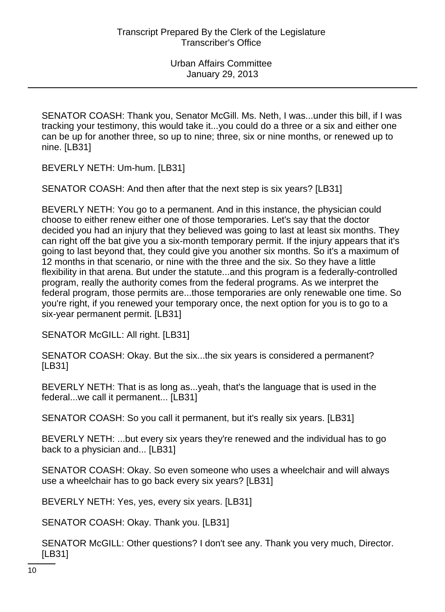SENATOR COASH: Thank you, Senator McGill. Ms. Neth, I was...under this bill, if I was tracking your testimony, this would take it...you could do a three or a six and either one can be up for another three, so up to nine; three, six or nine months, or renewed up to nine. [LB31]

BEVERLY NETH: Um-hum. [LB31]

SENATOR COASH: And then after that the next step is six years? [LB31]

BEVERLY NETH: You go to a permanent. And in this instance, the physician could choose to either renew either one of those temporaries. Let's say that the doctor decided you had an injury that they believed was going to last at least six months. They can right off the bat give you a six-month temporary permit. If the injury appears that it's going to last beyond that, they could give you another six months. So it's a maximum of 12 months in that scenario, or nine with the three and the six. So they have a little flexibility in that arena. But under the statute...and this program is a federally-controlled program, really the authority comes from the federal programs. As we interpret the federal program, those permits are...those temporaries are only renewable one time. So you're right, if you renewed your temporary once, the next option for you is to go to a six-year permanent permit. [LB31]

SENATOR McGILL: All right. [LB31]

SENATOR COASH: Okay. But the six...the six years is considered a permanent? [LB31]

BEVERLY NETH: That is as long as...yeah, that's the language that is used in the federal...we call it permanent... [LB31]

SENATOR COASH: So you call it permanent, but it's really six years. [LB31]

BEVERLY NETH: ...but every six years they're renewed and the individual has to go back to a physician and... [LB31]

SENATOR COASH: Okay. So even someone who uses a wheelchair and will always use a wheelchair has to go back every six years? [LB31]

BEVERLY NETH: Yes, yes, every six years. [LB31]

SENATOR COASH: Okay. Thank you. [LB31]

SENATOR McGILL: Other questions? I don't see any. Thank you very much, Director. [LB31]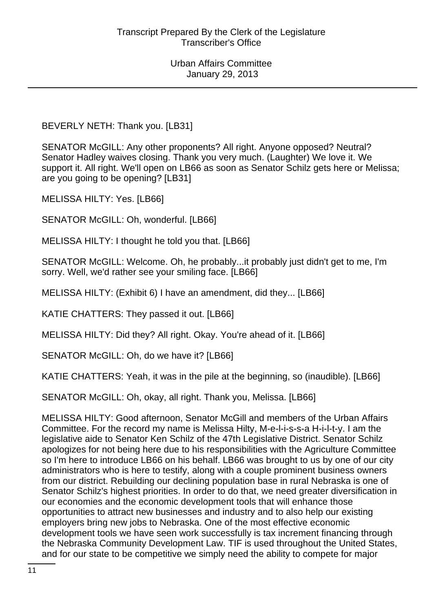BEVERLY NETH: Thank you. [LB31]

SENATOR McGILL: Any other proponents? All right. Anyone opposed? Neutral? Senator Hadley waives closing. Thank you very much. (Laughter) We love it. We support it. All right. We'll open on LB66 as soon as Senator Schilz gets here or Melissa; are you going to be opening? [LB31]

MELISSA HILTY: Yes. [LB66]

SENATOR McGILL: Oh, wonderful. [LB66]

MELISSA HILTY: I thought he told you that. [LB66]

SENATOR McGILL: Welcome. Oh, he probably...it probably just didn't get to me, I'm sorry. Well, we'd rather see your smiling face. [LB66]

MELISSA HILTY: (Exhibit 6) I have an amendment, did they... [LB66]

KATIE CHATTERS: They passed it out. [LB66]

MELISSA HILTY: Did they? All right. Okay. You're ahead of it. [LB66]

SENATOR McGILL: Oh, do we have it? [LB66]

KATIE CHATTERS: Yeah, it was in the pile at the beginning, so (inaudible). [LB66]

SENATOR McGILL: Oh, okay, all right. Thank you, Melissa. [LB66]

MELISSA HILTY: Good afternoon, Senator McGill and members of the Urban Affairs Committee. For the record my name is Melissa Hilty, M-e-l-i-s-s-a H-i-l-t-y. I am the legislative aide to Senator Ken Schilz of the 47th Legislative District. Senator Schilz apologizes for not being here due to his responsibilities with the Agriculture Committee so I'm here to introduce LB66 on his behalf. LB66 was brought to us by one of our city administrators who is here to testify, along with a couple prominent business owners from our district. Rebuilding our declining population base in rural Nebraska is one of Senator Schilz's highest priorities. In order to do that, we need greater diversification in our economies and the economic development tools that will enhance those opportunities to attract new businesses and industry and to also help our existing employers bring new jobs to Nebraska. One of the most effective economic development tools we have seen work successfully is tax increment financing through the Nebraska Community Development Law. TIF is used throughout the United States, and for our state to be competitive we simply need the ability to compete for major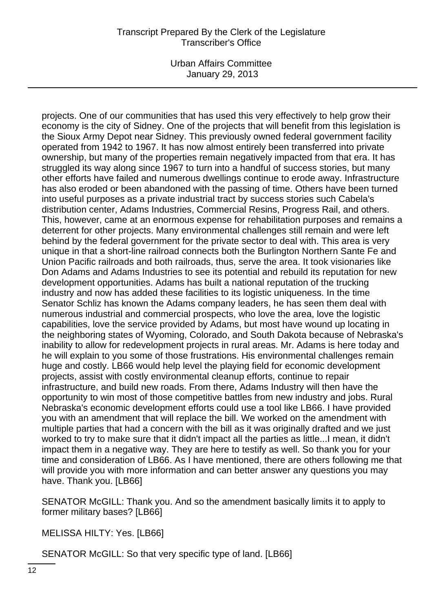Urban Affairs Committee January 29, 2013

projects. One of our communities that has used this very effectively to help grow their economy is the city of Sidney. One of the projects that will benefit from this legislation is the Sioux Army Depot near Sidney. This previously owned federal government facility operated from 1942 to 1967. It has now almost entirely been transferred into private ownership, but many of the properties remain negatively impacted from that era. It has struggled its way along since 1967 to turn into a handful of success stories, but many other efforts have failed and numerous dwellings continue to erode away. Infrastructure has also eroded or been abandoned with the passing of time. Others have been turned into useful purposes as a private industrial tract by success stories such Cabela's distribution center, Adams Industries, Commercial Resins, Progress Rail, and others. This, however, came at an enormous expense for rehabilitation purposes and remains a deterrent for other projects. Many environmental challenges still remain and were left behind by the federal government for the private sector to deal with. This area is very unique in that a short-line railroad connects both the Burlington Northern Sante Fe and Union Pacific railroads and both railroads, thus, serve the area. It took visionaries like Don Adams and Adams Industries to see its potential and rebuild its reputation for new development opportunities. Adams has built a national reputation of the trucking industry and now has added these facilities to its logistic uniqueness. In the time Senator Schliz has known the Adams company leaders, he has seen them deal with numerous industrial and commercial prospects, who love the area, love the logistic capabilities, love the service provided by Adams, but most have wound up locating in the neighboring states of Wyoming, Colorado, and South Dakota because of Nebraska's inability to allow for redevelopment projects in rural areas. Mr. Adams is here today and he will explain to you some of those frustrations. His environmental challenges remain huge and costly. LB66 would help level the playing field for economic development projects, assist with costly environmental cleanup efforts, continue to repair infrastructure, and build new roads. From there, Adams Industry will then have the opportunity to win most of those competitive battles from new industry and jobs. Rural Nebraska's economic development efforts could use a tool like LB66. I have provided you with an amendment that will replace the bill. We worked on the amendment with multiple parties that had a concern with the bill as it was originally drafted and we just worked to try to make sure that it didn't impact all the parties as little...I mean, it didn't impact them in a negative way. They are here to testify as well. So thank you for your time and consideration of LB66. As I have mentioned, there are others following me that will provide you with more information and can better answer any questions you may have. Thank you. [LB66]

SENATOR McGILL: Thank you. And so the amendment basically limits it to apply to former military bases? [LB66]

MELISSA HILTY: Yes. [LB66]

SENATOR McGILL: So that very specific type of land. [LB66]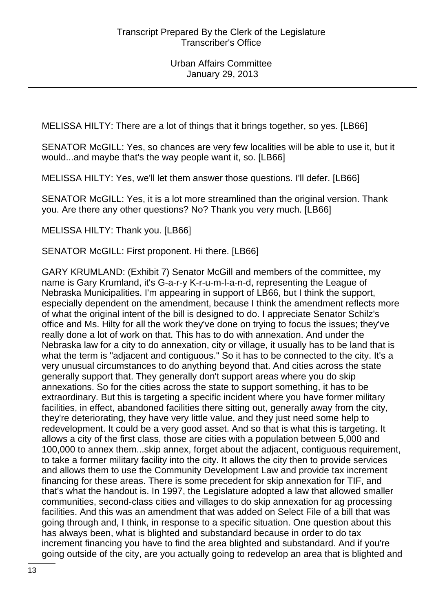MELISSA HILTY: There are a lot of things that it brings together, so yes. [LB66]

SENATOR McGILL: Yes, so chances are very few localities will be able to use it, but it would...and maybe that's the way people want it, so. [LB66]

MELISSA HILTY: Yes, we'll let them answer those questions. I'll defer. [LB66]

SENATOR McGILL: Yes, it is a lot more streamlined than the original version. Thank you. Are there any other questions? No? Thank you very much. [LB66]

MELISSA HILTY: Thank you. [LB66]

SENATOR McGILL: First proponent. Hi there. [LB66]

GARY KRUMLAND: (Exhibit 7) Senator McGill and members of the committee, my name is Gary Krumland, it's G-a-r-y K-r-u-m-l-a-n-d, representing the League of Nebraska Municipalities. I'm appearing in support of LB66, but I think the support, especially dependent on the amendment, because I think the amendment reflects more of what the original intent of the bill is designed to do. I appreciate Senator Schilz's office and Ms. Hilty for all the work they've done on trying to focus the issues; they've really done a lot of work on that. This has to do with annexation. And under the Nebraska law for a city to do annexation, city or village, it usually has to be land that is what the term is "adjacent and contiguous." So it has to be connected to the city. It's a very unusual circumstances to do anything beyond that. And cities across the state generally support that. They generally don't support areas where you do skip annexations. So for the cities across the state to support something, it has to be extraordinary. But this is targeting a specific incident where you have former military facilities, in effect, abandoned facilities there sitting out, generally away from the city, they're deteriorating, they have very little value, and they just need some help to redevelopment. It could be a very good asset. And so that is what this is targeting. It allows a city of the first class, those are cities with a population between 5,000 and 100,000 to annex them...skip annex, forget about the adjacent, contiguous requirement, to take a former military facility into the city. It allows the city then to provide services and allows them to use the Community Development Law and provide tax increment financing for these areas. There is some precedent for skip annexation for TIF, and that's what the handout is. In 1997, the Legislature adopted a law that allowed smaller communities, second-class cities and villages to do skip annexation for ag processing facilities. And this was an amendment that was added on Select File of a bill that was going through and, I think, in response to a specific situation. One question about this has always been, what is blighted and substandard because in order to do tax increment financing you have to find the area blighted and substandard. And if you're going outside of the city, are you actually going to redevelop an area that is blighted and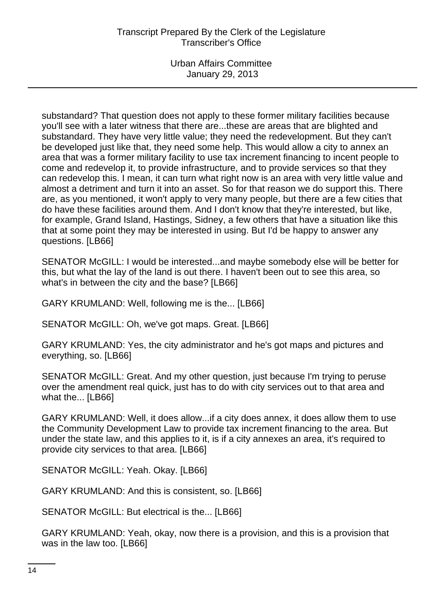substandard? That question does not apply to these former military facilities because you'll see with a later witness that there are...these are areas that are blighted and substandard. They have very little value; they need the redevelopment. But they can't be developed just like that, they need some help. This would allow a city to annex an area that was a former military facility to use tax increment financing to incent people to come and redevelop it, to provide infrastructure, and to provide services so that they can redevelop this. I mean, it can turn what right now is an area with very little value and almost a detriment and turn it into an asset. So for that reason we do support this. There are, as you mentioned, it won't apply to very many people, but there are a few cities that do have these facilities around them. And I don't know that they're interested, but like, for example, Grand Island, Hastings, Sidney, a few others that have a situation like this that at some point they may be interested in using. But I'd be happy to answer any questions. [LB66]

SENATOR McGILL: I would be interested...and maybe somebody else will be better for this, but what the lay of the land is out there. I haven't been out to see this area, so what's in between the city and the base? [LB66]

GARY KRUMLAND: Well, following me is the... [LB66]

SENATOR McGILL: Oh, we've got maps. Great. [LB66]

GARY KRUMLAND: Yes, the city administrator and he's got maps and pictures and everything, so. [LB66]

SENATOR McGILL: Great. And my other question, just because I'm trying to peruse over the amendment real quick, just has to do with city services out to that area and what the... [LB66]

GARY KRUMLAND: Well, it does allow...if a city does annex, it does allow them to use the Community Development Law to provide tax increment financing to the area. But under the state law, and this applies to it, is if a city annexes an area, it's required to provide city services to that area. [LB66]

SENATOR McGILL: Yeah. Okay. [LB66]

GARY KRUMLAND: And this is consistent, so. [LB66]

SENATOR McGILL: But electrical is the... [LB66]

GARY KRUMLAND: Yeah, okay, now there is a provision, and this is a provision that was in the law too. [LB66]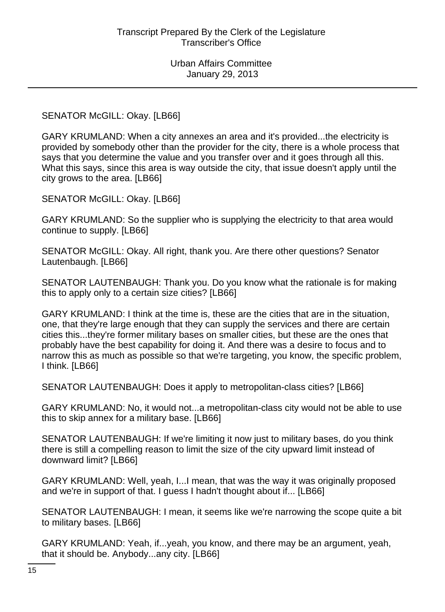## SENATOR McGILL: Okay. [LB66]

GARY KRUMLAND: When a city annexes an area and it's provided...the electricity is provided by somebody other than the provider for the city, there is a whole process that says that you determine the value and you transfer over and it goes through all this. What this says, since this area is way outside the city, that issue doesn't apply until the city grows to the area. [LB66]

SENATOR McGILL: Okay. [LB66]

GARY KRUMLAND: So the supplier who is supplying the electricity to that area would continue to supply. [LB66]

SENATOR McGILL: Okay. All right, thank you. Are there other questions? Senator Lautenbaugh. [LB66]

SENATOR LAUTENBAUGH: Thank you. Do you know what the rationale is for making this to apply only to a certain size cities? [LB66]

GARY KRUMLAND: I think at the time is, these are the cities that are in the situation, one, that they're large enough that they can supply the services and there are certain cities this...they're former military bases on smaller cities, but these are the ones that probably have the best capability for doing it. And there was a desire to focus and to narrow this as much as possible so that we're targeting, you know, the specific problem, I think. [LB66]

SENATOR LAUTENBAUGH: Does it apply to metropolitan-class cities? [LB66]

GARY KRUMLAND: No, it would not...a metropolitan-class city would not be able to use this to skip annex for a military base. [LB66]

SENATOR LAUTENBAUGH: If we're limiting it now just to military bases, do you think there is still a compelling reason to limit the size of the city upward limit instead of downward limit? [LB66]

GARY KRUMLAND: Well, yeah, I...I mean, that was the way it was originally proposed and we're in support of that. I guess I hadn't thought about if... [LB66]

SENATOR LAUTENBAUGH: I mean, it seems like we're narrowing the scope quite a bit to military bases. [LB66]

GARY KRUMLAND: Yeah, if...yeah, you know, and there may be an argument, yeah, that it should be. Anybody...any city. [LB66]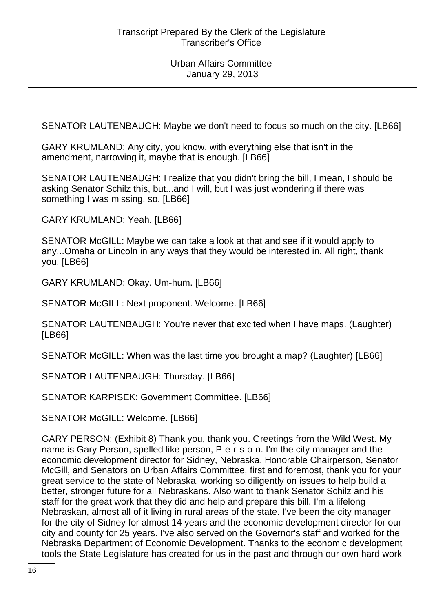SENATOR LAUTENBAUGH: Maybe we don't need to focus so much on the city. [LB66]

GARY KRUMLAND: Any city, you know, with everything else that isn't in the amendment, narrowing it, maybe that is enough. [LB66]

SENATOR LAUTENBAUGH: I realize that you didn't bring the bill, I mean, I should be asking Senator Schilz this, but...and I will, but I was just wondering if there was something I was missing, so. [LB66]

GARY KRUMLAND: Yeah. [LB66]

SENATOR McGILL: Maybe we can take a look at that and see if it would apply to any...Omaha or Lincoln in any ways that they would be interested in. All right, thank you. [LB66]

GARY KRUMLAND: Okay. Um-hum. [LB66]

SENATOR McGILL: Next proponent. Welcome. [LB66]

SENATOR LAUTENBAUGH: You're never that excited when I have maps. (Laughter) [LB66]

SENATOR McGILL: When was the last time you brought a map? (Laughter) [LB66]

SENATOR LAUTENBAUGH: Thursday. [LB66]

SENATOR KARPISEK: Government Committee. [LB66]

SENATOR McGILL: Welcome. [LB66]

GARY PERSON: (Exhibit 8) Thank you, thank you. Greetings from the Wild West. My name is Gary Person, spelled like person, P-e-r-s-o-n. I'm the city manager and the economic development director for Sidney, Nebraska. Honorable Chairperson, Senator McGill, and Senators on Urban Affairs Committee, first and foremost, thank you for your great service to the state of Nebraska, working so diligently on issues to help build a better, stronger future for all Nebraskans. Also want to thank Senator Schilz and his staff for the great work that they did and help and prepare this bill. I'm a lifelong Nebraskan, almost all of it living in rural areas of the state. I've been the city manager for the city of Sidney for almost 14 years and the economic development director for our city and county for 25 years. I've also served on the Governor's staff and worked for the Nebraska Department of Economic Development. Thanks to the economic development tools the State Legislature has created for us in the past and through our own hard work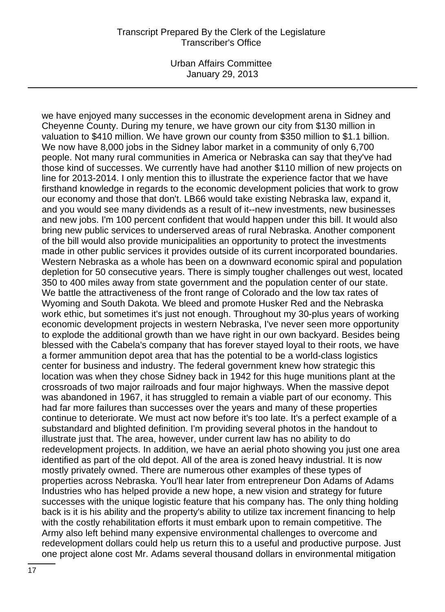Urban Affairs Committee January 29, 2013

we have enjoyed many successes in the economic development arena in Sidney and Cheyenne County. During my tenure, we have grown our city from \$130 million in valuation to \$410 million. We have grown our county from \$350 million to \$1.1 billion. We now have 8,000 jobs in the Sidney labor market in a community of only 6,700 people. Not many rural communities in America or Nebraska can say that they've had those kind of successes. We currently have had another \$110 million of new projects on line for 2013-2014. I only mention this to illustrate the experience factor that we have firsthand knowledge in regards to the economic development policies that work to grow our economy and those that don't. LB66 would take existing Nebraska law, expand it, and you would see many dividends as a result of it--new investments, new businesses and new jobs. I'm 100 percent confident that would happen under this bill. It would also bring new public services to underserved areas of rural Nebraska. Another component of the bill would also provide municipalities an opportunity to protect the investments made in other public services it provides outside of its current incorporated boundaries. Western Nebraska as a whole has been on a downward economic spiral and population depletion for 50 consecutive years. There is simply tougher challenges out west, located 350 to 400 miles away from state government and the population center of our state. We battle the attractiveness of the front range of Colorado and the low tax rates of Wyoming and South Dakota. We bleed and promote Husker Red and the Nebraska work ethic, but sometimes it's just not enough. Throughout my 30-plus years of working economic development projects in western Nebraska, I've never seen more opportunity to explode the additional growth than we have right in our own backyard. Besides being blessed with the Cabela's company that has forever stayed loyal to their roots, we have a former ammunition depot area that has the potential to be a world-class logistics center for business and industry. The federal government knew how strategic this location was when they chose Sidney back in 1942 for this huge munitions plant at the crossroads of two major railroads and four major highways. When the massive depot was abandoned in 1967, it has struggled to remain a viable part of our economy. This had far more failures than successes over the years and many of these properties continue to deteriorate. We must act now before it's too late. It's a perfect example of a substandard and blighted definition. I'm providing several photos in the handout to illustrate just that. The area, however, under current law has no ability to do redevelopment projects. In addition, we have an aerial photo showing you just one area identified as part of the old depot. All of the area is zoned heavy industrial. It is now mostly privately owned. There are numerous other examples of these types of properties across Nebraska. You'll hear later from entrepreneur Don Adams of Adams Industries who has helped provide a new hope, a new vision and strategy for future successes with the unique logistic feature that his company has. The only thing holding back is it is his ability and the property's ability to utilize tax increment financing to help with the costly rehabilitation efforts it must embark upon to remain competitive. The Army also left behind many expensive environmental challenges to overcome and redevelopment dollars could help us return this to a useful and productive purpose. Just one project alone cost Mr. Adams several thousand dollars in environmental mitigation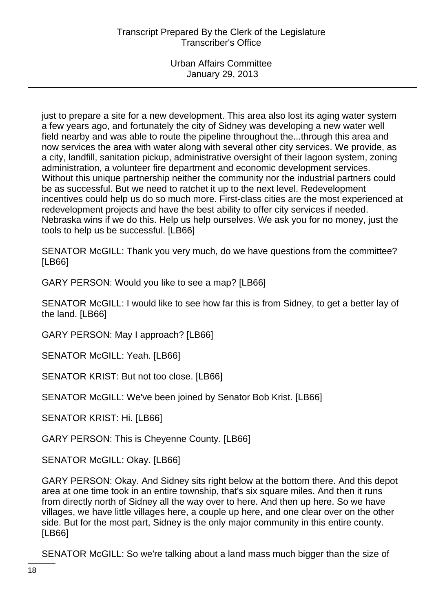just to prepare a site for a new development. This area also lost its aging water system a few years ago, and fortunately the city of Sidney was developing a new water well field nearby and was able to route the pipeline throughout the...through this area and now services the area with water along with several other city services. We provide, as a city, landfill, sanitation pickup, administrative oversight of their lagoon system, zoning administration, a volunteer fire department and economic development services. Without this unique partnership neither the community nor the industrial partners could be as successful. But we need to ratchet it up to the next level. Redevelopment incentives could help us do so much more. First-class cities are the most experienced at redevelopment projects and have the best ability to offer city services if needed. Nebraska wins if we do this. Help us help ourselves. We ask you for no money, just the tools to help us be successful. [LB66]

SENATOR McGILL: Thank you very much, do we have questions from the committee? [LB66]

GARY PERSON: Would you like to see a map? [LB66]

SENATOR McGILL: I would like to see how far this is from Sidney, to get a better lay of the land. [LB66]

GARY PERSON: May I approach? [LB66]

SENATOR McGILL: Yeah. [LB66]

SENATOR KRIST: But not too close. [LB66]

SENATOR McGILL: We've been joined by Senator Bob Krist. [LB66]

SENATOR KRIST: Hi. [LB66]

GARY PERSON: This is Cheyenne County. [LB66]

SENATOR McGILL: Okay. [LB66]

GARY PERSON: Okay. And Sidney sits right below at the bottom there. And this depot area at one time took in an entire township, that's six square miles. And then it runs from directly north of Sidney all the way over to here. And then up here. So we have villages, we have little villages here, a couple up here, and one clear over on the other side. But for the most part, Sidney is the only major community in this entire county. [LB66]

SENATOR McGILL: So we're talking about a land mass much bigger than the size of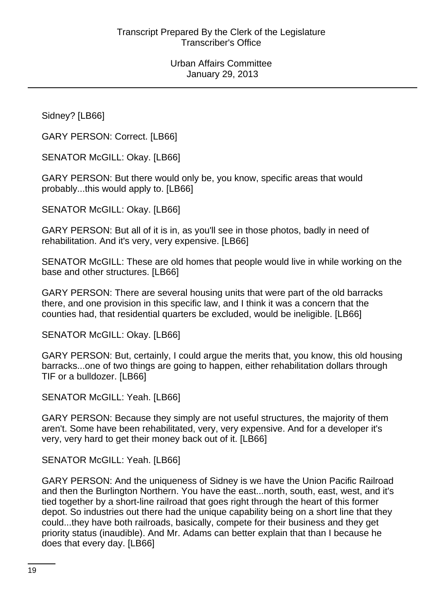Sidney? [LB66]

GARY PERSON: Correct. [LB66]

SENATOR McGILL: Okay. [LB66]

GARY PERSON: But there would only be, you know, specific areas that would probably...this would apply to. [LB66]

SENATOR McGILL: Okay. [LB66]

GARY PERSON: But all of it is in, as you'll see in those photos, badly in need of rehabilitation. And it's very, very expensive. [LB66]

SENATOR McGILL: These are old homes that people would live in while working on the base and other structures. [LB66]

GARY PERSON: There are several housing units that were part of the old barracks there, and one provision in this specific law, and I think it was a concern that the counties had, that residential quarters be excluded, would be ineligible. [LB66]

SENATOR McGILL: Okay. [LB66]

GARY PERSON: But, certainly, I could argue the merits that, you know, this old housing barracks...one of two things are going to happen, either rehabilitation dollars through TIF or a bulldozer. [LB66]

SENATOR McGILL: Yeah. [LB66]

GARY PERSON: Because they simply are not useful structures, the majority of them aren't. Some have been rehabilitated, very, very expensive. And for a developer it's very, very hard to get their money back out of it. [LB66]

SENATOR McGILL: Yeah. [LB66]

GARY PERSON: And the uniqueness of Sidney is we have the Union Pacific Railroad and then the Burlington Northern. You have the east...north, south, east, west, and it's tied together by a short-line railroad that goes right through the heart of this former depot. So industries out there had the unique capability being on a short line that they could...they have both railroads, basically, compete for their business and they get priority status (inaudible). And Mr. Adams can better explain that than I because he does that every day. [LB66]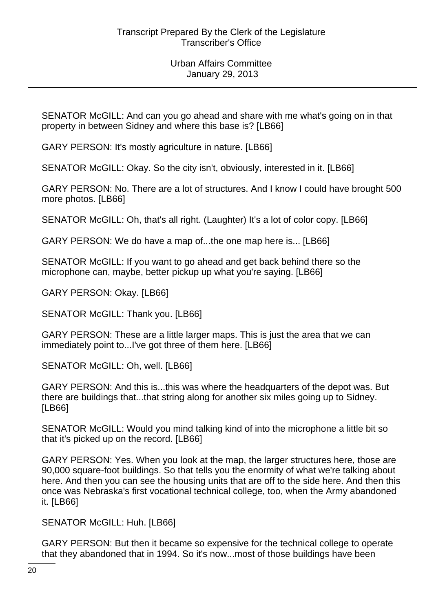SENATOR McGILL: And can you go ahead and share with me what's going on in that property in between Sidney and where this base is? [LB66]

GARY PERSON: It's mostly agriculture in nature. [LB66]

SENATOR McGILL: Okay. So the city isn't, obviously, interested in it. [LB66]

GARY PERSON: No. There are a lot of structures. And I know I could have brought 500 more photos. [LB66]

SENATOR McGILL: Oh, that's all right. (Laughter) It's a lot of color copy. [LB66]

GARY PERSON: We do have a map of...the one map here is... [LB66]

SENATOR McGILL: If you want to go ahead and get back behind there so the microphone can, maybe, better pickup up what you're saying. [LB66]

GARY PERSON: Okay. [LB66]

SENATOR McGILL: Thank you. [LB66]

GARY PERSON: These are a little larger maps. This is just the area that we can immediately point to...I've got three of them here. [LB66]

SENATOR McGILL: Oh, well. [LB66]

GARY PERSON: And this is...this was where the headquarters of the depot was. But there are buildings that...that string along for another six miles going up to Sidney. [LB66]

SENATOR McGILL: Would you mind talking kind of into the microphone a little bit so that it's picked up on the record. [LB66]

GARY PERSON: Yes. When you look at the map, the larger structures here, those are 90,000 square-foot buildings. So that tells you the enormity of what we're talking about here. And then you can see the housing units that are off to the side here. And then this once was Nebraska's first vocational technical college, too, when the Army abandoned it. [LB66]

SENATOR McGILL: Huh. [LB66]

GARY PERSON: But then it became so expensive for the technical college to operate that they abandoned that in 1994. So it's now...most of those buildings have been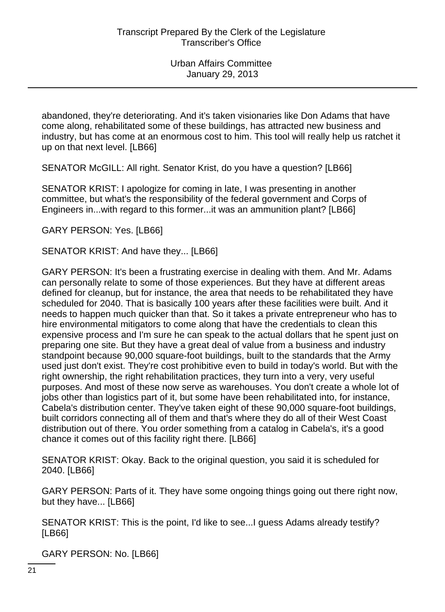abandoned, they're deteriorating. And it's taken visionaries like Don Adams that have come along, rehabilitated some of these buildings, has attracted new business and industry, but has come at an enormous cost to him. This tool will really help us ratchet it up on that next level. [LB66]

SENATOR McGILL: All right. Senator Krist, do you have a question? [LB66]

SENATOR KRIST: I apologize for coming in late, I was presenting in another committee, but what's the responsibility of the federal government and Corps of Engineers in...with regard to this former...it was an ammunition plant? [LB66]

GARY PERSON: Yes. [LB66]

SENATOR KRIST: And have they... [LB66]

GARY PERSON: It's been a frustrating exercise in dealing with them. And Mr. Adams can personally relate to some of those experiences. But they have at different areas defined for cleanup, but for instance, the area that needs to be rehabilitated they have scheduled for 2040. That is basically 100 years after these facilities were built. And it needs to happen much quicker than that. So it takes a private entrepreneur who has to hire environmental mitigators to come along that have the credentials to clean this expensive process and I'm sure he can speak to the actual dollars that he spent just on preparing one site. But they have a great deal of value from a business and industry standpoint because 90,000 square-foot buildings, built to the standards that the Army used just don't exist. They're cost prohibitive even to build in today's world. But with the right ownership, the right rehabilitation practices, they turn into a very, very useful purposes. And most of these now serve as warehouses. You don't create a whole lot of jobs other than logistics part of it, but some have been rehabilitated into, for instance, Cabela's distribution center. They've taken eight of these 90,000 square-foot buildings, built corridors connecting all of them and that's where they do all of their West Coast distribution out of there. You order something from a catalog in Cabela's, it's a good chance it comes out of this facility right there. [LB66]

SENATOR KRIST: Okay. Back to the original question, you said it is scheduled for 2040. [LB66]

GARY PERSON: Parts of it. They have some ongoing things going out there right now, but they have... [LB66]

SENATOR KRIST: This is the point, I'd like to see...I guess Adams already testify? [LB66]

GARY PERSON: No. [LB66]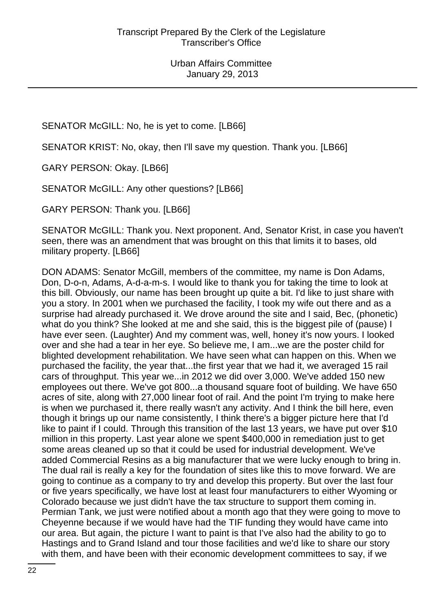SENATOR McGILL: No, he is yet to come. [LB66]

SENATOR KRIST: No, okay, then I'll save my question. Thank you. [LB66]

GARY PERSON: Okay. [LB66]

SENATOR McGILL: Any other questions? [LB66]

GARY PERSON: Thank you. [LB66]

SENATOR McGILL: Thank you. Next proponent. And, Senator Krist, in case you haven't seen, there was an amendment that was brought on this that limits it to bases, old military property. [LB66]

DON ADAMS: Senator McGill, members of the committee, my name is Don Adams, Don, D-o-n, Adams, A-d-a-m-s. I would like to thank you for taking the time to look at this bill. Obviously, our name has been brought up quite a bit. I'd like to just share with you a story. In 2001 when we purchased the facility, I took my wife out there and as a surprise had already purchased it. We drove around the site and I said, Bec, (phonetic) what do you think? She looked at me and she said, this is the biggest pile of (pause) I have ever seen. (Laughter) And my comment was, well, honey it's now yours. I looked over and she had a tear in her eye. So believe me, I am...we are the poster child for blighted development rehabilitation. We have seen what can happen on this. When we purchased the facility, the year that...the first year that we had it, we averaged 15 rail cars of throughput. This year we...in 2012 we did over 3,000. We've added 150 new employees out there. We've got 800...a thousand square foot of building. We have 650 acres of site, along with 27,000 linear foot of rail. And the point I'm trying to make here is when we purchased it, there really wasn't any activity. And I think the bill here, even though it brings up our name consistently, I think there's a bigger picture here that I'd like to paint if I could. Through this transition of the last 13 years, we have put over \$10 million in this property. Last year alone we spent \$400,000 in remediation just to get some areas cleaned up so that it could be used for industrial development. We've added Commercial Resins as a big manufacturer that we were lucky enough to bring in. The dual rail is really a key for the foundation of sites like this to move forward. We are going to continue as a company to try and develop this property. But over the last four or five years specifically, we have lost at least four manufacturers to either Wyoming or Colorado because we just didn't have the tax structure to support them coming in. Permian Tank, we just were notified about a month ago that they were going to move to Cheyenne because if we would have had the TIF funding they would have came into our area. But again, the picture I want to paint is that I've also had the ability to go to Hastings and to Grand Island and tour those facilities and we'd like to share our story with them, and have been with their economic development committees to say, if we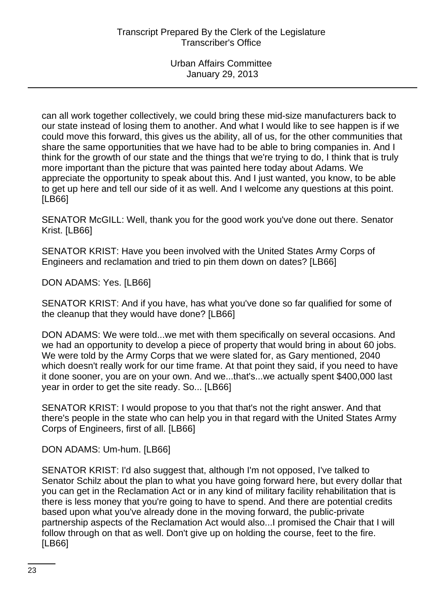can all work together collectively, we could bring these mid-size manufacturers back to our state instead of losing them to another. And what I would like to see happen is if we could move this forward, this gives us the ability, all of us, for the other communities that share the same opportunities that we have had to be able to bring companies in. And I think for the growth of our state and the things that we're trying to do, I think that is truly more important than the picture that was painted here today about Adams. We appreciate the opportunity to speak about this. And I just wanted, you know, to be able to get up here and tell our side of it as well. And I welcome any questions at this point. [LB66]

SENATOR McGILL: Well, thank you for the good work you've done out there. Senator Krist. [LB66]

SENATOR KRIST: Have you been involved with the United States Army Corps of Engineers and reclamation and tried to pin them down on dates? [LB66]

DON ADAMS: Yes. [LB66]

SENATOR KRIST: And if you have, has what you've done so far qualified for some of the cleanup that they would have done? [LB66]

DON ADAMS: We were told...we met with them specifically on several occasions. And we had an opportunity to develop a piece of property that would bring in about 60 jobs. We were told by the Army Corps that we were slated for, as Gary mentioned, 2040 which doesn't really work for our time frame. At that point they said, if you need to have it done sooner, you are on your own. And we...that's...we actually spent \$400,000 last year in order to get the site ready. So... [LB66]

SENATOR KRIST: I would propose to you that that's not the right answer. And that there's people in the state who can help you in that regard with the United States Army Corps of Engineers, first of all. [LB66]

DON ADAMS: Um-hum. [LB66]

SENATOR KRIST: I'd also suggest that, although I'm not opposed, I've talked to Senator Schilz about the plan to what you have going forward here, but every dollar that you can get in the Reclamation Act or in any kind of military facility rehabilitation that is there is less money that you're going to have to spend. And there are potential credits based upon what you've already done in the moving forward, the public-private partnership aspects of the Reclamation Act would also...I promised the Chair that I will follow through on that as well. Don't give up on holding the course, feet to the fire. [LB66]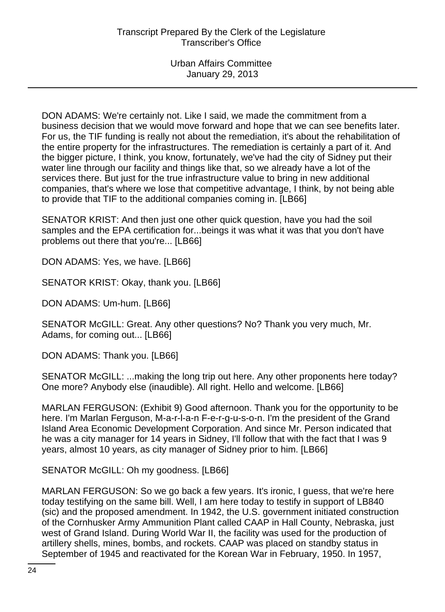DON ADAMS: We're certainly not. Like I said, we made the commitment from a business decision that we would move forward and hope that we can see benefits later. For us, the TIF funding is really not about the remediation, it's about the rehabilitation of the entire property for the infrastructures. The remediation is certainly a part of it. And the bigger picture, I think, you know, fortunately, we've had the city of Sidney put their water line through our facility and things like that, so we already have a lot of the services there. But just for the true infrastructure value to bring in new additional companies, that's where we lose that competitive advantage, I think, by not being able to provide that TIF to the additional companies coming in. [LB66]

SENATOR KRIST: And then just one other quick question, have you had the soil samples and the EPA certification for...beings it was what it was that you don't have problems out there that you're... [LB66]

DON ADAMS: Yes, we have. [LB66]

SENATOR KRIST: Okay, thank you. [LB66]

DON ADAMS: Um-hum. [LB66]

SENATOR McGILL: Great. Any other questions? No? Thank you very much, Mr. Adams, for coming out... [LB66]

DON ADAMS: Thank you. [LB66]

SENATOR McGILL: ...making the long trip out here. Any other proponents here today? One more? Anybody else (inaudible). All right. Hello and welcome. [LB66]

MARLAN FERGUSON: (Exhibit 9) Good afternoon. Thank you for the opportunity to be here. I'm Marlan Ferguson, M-a-r-l-a-n F-e-r-g-u-s-o-n. I'm the president of the Grand Island Area Economic Development Corporation. And since Mr. Person indicated that he was a city manager for 14 years in Sidney, I'll follow that with the fact that I was 9 years, almost 10 years, as city manager of Sidney prior to him. [LB66]

SENATOR McGILL: Oh my goodness. [LB66]

MARLAN FERGUSON: So we go back a few years. It's ironic, I guess, that we're here today testifying on the same bill. Well, I am here today to testify in support of LB840 (sic) and the proposed amendment. In 1942, the U.S. government initiated construction of the Cornhusker Army Ammunition Plant called CAAP in Hall County, Nebraska, just west of Grand Island. During World War II, the facility was used for the production of artillery shells, mines, bombs, and rockets. CAAP was placed on standby status in September of 1945 and reactivated for the Korean War in February, 1950. In 1957,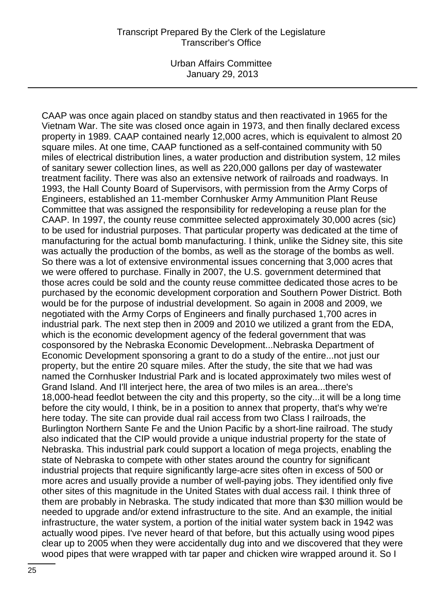Urban Affairs Committee January 29, 2013

CAAP was once again placed on standby status and then reactivated in 1965 for the Vietnam War. The site was closed once again in 1973, and then finally declared excess property in 1989. CAAP contained nearly 12,000 acres, which is equivalent to almost 20 square miles. At one time, CAAP functioned as a self-contained community with 50 miles of electrical distribution lines, a water production and distribution system, 12 miles of sanitary sewer collection lines, as well as 220,000 gallons per day of wastewater treatment facility. There was also an extensive network of railroads and roadways. In 1993, the Hall County Board of Supervisors, with permission from the Army Corps of Engineers, established an 11-member Cornhusker Army Ammunition Plant Reuse Committee that was assigned the responsibility for redeveloping a reuse plan for the CAAP. In 1997, the county reuse committee selected approximately 30,000 acres (sic) to be used for industrial purposes. That particular property was dedicated at the time of manufacturing for the actual bomb manufacturing. I think, unlike the Sidney site, this site was actually the production of the bombs, as well as the storage of the bombs as well. So there was a lot of extensive environmental issues concerning that 3,000 acres that we were offered to purchase. Finally in 2007, the U.S. government determined that those acres could be sold and the county reuse committee dedicated those acres to be purchased by the economic development corporation and Southern Power District. Both would be for the purpose of industrial development. So again in 2008 and 2009, we negotiated with the Army Corps of Engineers and finally purchased 1,700 acres in industrial park. The next step then in 2009 and 2010 we utilized a grant from the EDA, which is the economic development agency of the federal government that was cosponsored by the Nebraska Economic Development...Nebraska Department of Economic Development sponsoring a grant to do a study of the entire...not just our property, but the entire 20 square miles. After the study, the site that we had was named the Cornhusker Industrial Park and is located approximately two miles west of Grand Island. And I'll interject here, the area of two miles is an area...there's 18,000-head feedlot between the city and this property, so the city...it will be a long time before the city would, I think, be in a position to annex that property, that's why we're here today. The site can provide dual rail access from two Class I railroads, the Burlington Northern Sante Fe and the Union Pacific by a short-line railroad. The study also indicated that the CIP would provide a unique industrial property for the state of Nebraska. This industrial park could support a location of mega projects, enabling the state of Nebraska to compete with other states around the country for significant industrial projects that require significantly large-acre sites often in excess of 500 or more acres and usually provide a number of well-paying jobs. They identified only five other sites of this magnitude in the United States with dual access rail. I think three of them are probably in Nebraska. The study indicated that more than \$30 million would be needed to upgrade and/or extend infrastructure to the site. And an example, the initial infrastructure, the water system, a portion of the initial water system back in 1942 was actually wood pipes. I've never heard of that before, but this actually using wood pipes clear up to 2005 when they were accidentally dug into and we discovered that they were wood pipes that were wrapped with tar paper and chicken wire wrapped around it. So I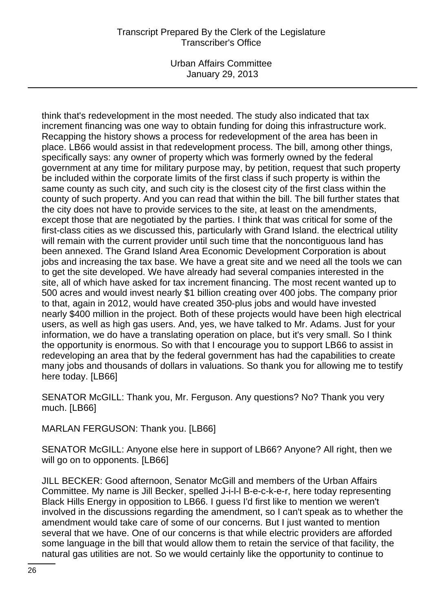Urban Affairs Committee January 29, 2013

think that's redevelopment in the most needed. The study also indicated that tax increment financing was one way to obtain funding for doing this infrastructure work. Recapping the history shows a process for redevelopment of the area has been in place. LB66 would assist in that redevelopment process. The bill, among other things, specifically says: any owner of property which was formerly owned by the federal government at any time for military purpose may, by petition, request that such property be included within the corporate limits of the first class if such property is within the same county as such city, and such city is the closest city of the first class within the county of such property. And you can read that within the bill. The bill further states that the city does not have to provide services to the site, at least on the amendments, except those that are negotiated by the parties. I think that was critical for some of the first-class cities as we discussed this, particularly with Grand Island. the electrical utility will remain with the current provider until such time that the noncontiguous land has been annexed. The Grand Island Area Economic Development Corporation is about jobs and increasing the tax base. We have a great site and we need all the tools we can to get the site developed. We have already had several companies interested in the site, all of which have asked for tax increment financing. The most recent wanted up to 500 acres and would invest nearly \$1 billion creating over 400 jobs. The company prior to that, again in 2012, would have created 350-plus jobs and would have invested nearly \$400 million in the project. Both of these projects would have been high electrical users, as well as high gas users. And, yes, we have talked to Mr. Adams. Just for your information, we do have a translating operation on place, but it's very small. So I think the opportunity is enormous. So with that I encourage you to support LB66 to assist in redeveloping an area that by the federal government has had the capabilities to create many jobs and thousands of dollars in valuations. So thank you for allowing me to testify here today. [LB66]

SENATOR McGILL: Thank you, Mr. Ferguson. Any questions? No? Thank you very much. [LB66]

MARLAN FERGUSON: Thank you. [LB66]

SENATOR McGILL: Anyone else here in support of LB66? Anyone? All right, then we will go on to opponents. [LB66]

JILL BECKER: Good afternoon, Senator McGill and members of the Urban Affairs Committee. My name is Jill Becker, spelled J-i-l-l B-e-c-k-e-r, here today representing Black Hills Energy in opposition to LB66. I guess I'd first like to mention we weren't involved in the discussions regarding the amendment, so I can't speak as to whether the amendment would take care of some of our concerns. But I just wanted to mention several that we have. One of our concerns is that while electric providers are afforded some language in the bill that would allow them to retain the service of that facility, the natural gas utilities are not. So we would certainly like the opportunity to continue to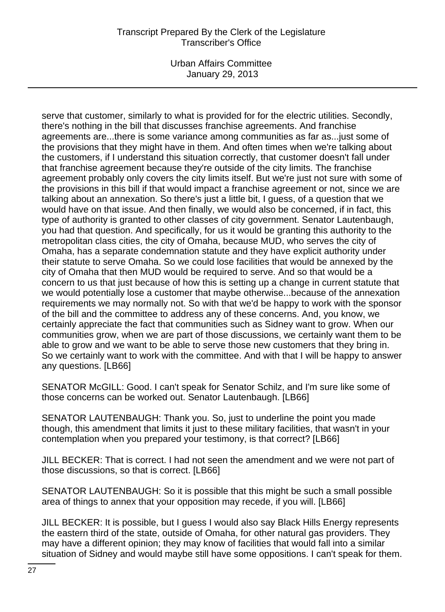Urban Affairs Committee January 29, 2013

serve that customer, similarly to what is provided for for the electric utilities. Secondly, there's nothing in the bill that discusses franchise agreements. And franchise agreements are...there is some variance among communities as far as...just some of the provisions that they might have in them. And often times when we're talking about the customers, if I understand this situation correctly, that customer doesn't fall under that franchise agreement because they're outside of the city limits. The franchise agreement probably only covers the city limits itself. But we're just not sure with some of the provisions in this bill if that would impact a franchise agreement or not, since we are talking about an annexation. So there's just a little bit, I guess, of a question that we would have on that issue. And then finally, we would also be concerned, if in fact, this type of authority is granted to other classes of city government. Senator Lautenbaugh, you had that question. And specifically, for us it would be granting this authority to the metropolitan class cities, the city of Omaha, because MUD, who serves the city of Omaha, has a separate condemnation statute and they have explicit authority under their statute to serve Omaha. So we could lose facilities that would be annexed by the city of Omaha that then MUD would be required to serve. And so that would be a concern to us that just because of how this is setting up a change in current statute that we would potentially lose a customer that maybe otherwise...because of the annexation requirements we may normally not. So with that we'd be happy to work with the sponsor of the bill and the committee to address any of these concerns. And, you know, we certainly appreciate the fact that communities such as Sidney want to grow. When our communities grow, when we are part of those discussions, we certainly want them to be able to grow and we want to be able to serve those new customers that they bring in. So we certainly want to work with the committee. And with that I will be happy to answer any questions. [LB66]

SENATOR McGILL: Good. I can't speak for Senator Schilz, and I'm sure like some of those concerns can be worked out. Senator Lautenbaugh. [LB66]

SENATOR LAUTENBAUGH: Thank you. So, just to underline the point you made though, this amendment that limits it just to these military facilities, that wasn't in your contemplation when you prepared your testimony, is that correct? [LB66]

JILL BECKER: That is correct. I had not seen the amendment and we were not part of those discussions, so that is correct. [LB66]

SENATOR LAUTENBAUGH: So it is possible that this might be such a small possible area of things to annex that your opposition may recede, if you will. [LB66]

JILL BECKER: It is possible, but I guess I would also say Black Hills Energy represents the eastern third of the state, outside of Omaha, for other natural gas providers. They may have a different opinion; they may know of facilities that would fall into a similar situation of Sidney and would maybe still have some oppositions. I can't speak for them.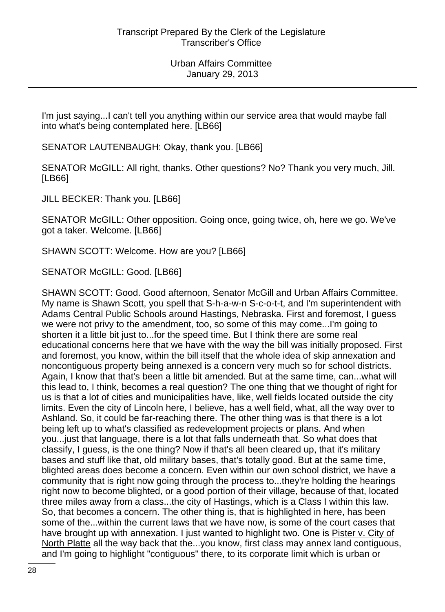I'm just saying...I can't tell you anything within our service area that would maybe fall into what's being contemplated here. [LB66]

SENATOR LAUTENBAUGH: Okay, thank you. [LB66]

SENATOR McGILL: All right, thanks. Other questions? No? Thank you very much, Jill. [LB66]

JILL BECKER: Thank you. [LB66]

SENATOR McGILL: Other opposition. Going once, going twice, oh, here we go. We've got a taker. Welcome. [LB66]

SHAWN SCOTT: Welcome. How are you? [LB66]

SENATOR McGILL: Good. [LB66]

SHAWN SCOTT: Good. Good afternoon, Senator McGill and Urban Affairs Committee. My name is Shawn Scott, you spell that S-h-a-w-n S-c-o-t-t, and I'm superintendent with Adams Central Public Schools around Hastings, Nebraska. First and foremost, I guess we were not privy to the amendment, too, so some of this may come...I'm going to shorten it a little bit just to...for the speed time. But I think there are some real educational concerns here that we have with the way the bill was initially proposed. First and foremost, you know, within the bill itself that the whole idea of skip annexation and noncontiguous property being annexed is a concern very much so for school districts. Again, I know that that's been a little bit amended. But at the same time, can...what will this lead to, I think, becomes a real question? The one thing that we thought of right for us is that a lot of cities and municipalities have, like, well fields located outside the city limits. Even the city of Lincoln here, I believe, has a well field, what, all the way over to Ashland. So, it could be far-reaching there. The other thing was is that there is a lot being left up to what's classified as redevelopment projects or plans. And when you...just that language, there is a lot that falls underneath that. So what does that classify, I guess, is the one thing? Now if that's all been cleared up, that it's military bases and stuff like that, old military bases, that's totally good. But at the same time, blighted areas does become a concern. Even within our own school district, we have a community that is right now going through the process to...they're holding the hearings right now to become blighted, or a good portion of their village, because of that, located three miles away from a class...the city of Hastings, which is a Class I within this law. So, that becomes a concern. The other thing is, that is highlighted in here, has been some of the...within the current laws that we have now, is some of the court cases that have brought up with annexation. I just wanted to highlight two. One is Pister v. City of North Platte all the way back that the...you know, first class may annex land contiguous, and I'm going to highlight "contiguous" there, to its corporate limit which is urban or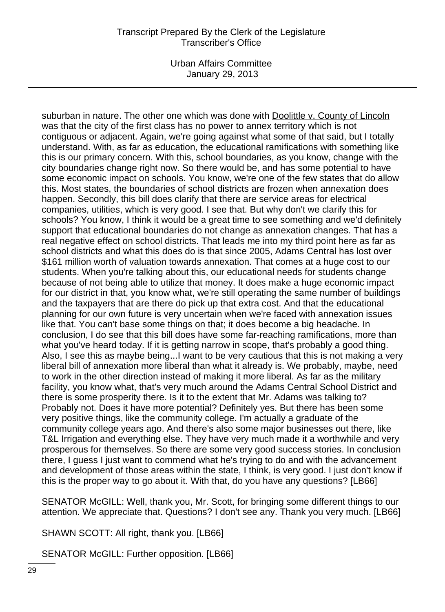Urban Affairs Committee January 29, 2013

suburban in nature. The other one which was done with Doolittle v. County of Lincoln was that the city of the first class has no power to annex territory which is not contiguous or adjacent. Again, we're going against what some of that said, but I totally understand. With, as far as education, the educational ramifications with something like this is our primary concern. With this, school boundaries, as you know, change with the city boundaries change right now. So there would be, and has some potential to have some economic impact on schools. You know, we're one of the few states that do allow this. Most states, the boundaries of school districts are frozen when annexation does happen. Secondly, this bill does clarify that there are service areas for electrical companies, utilities, which is very good. I see that. But why don't we clarify this for schools? You know, I think it would be a great time to see something and we'd definitely support that educational boundaries do not change as annexation changes. That has a real negative effect on school districts. That leads me into my third point here as far as school districts and what this does do is that since 2005, Adams Central has lost over \$161 million worth of valuation towards annexation. That comes at a huge cost to our students. When you're talking about this, our educational needs for students change because of not being able to utilize that money. It does make a huge economic impact for our district in that, you know what, we're still operating the same number of buildings and the taxpayers that are there do pick up that extra cost. And that the educational planning for our own future is very uncertain when we're faced with annexation issues like that. You can't base some things on that; it does become a big headache. In conclusion, I do see that this bill does have some far-reaching ramifications, more than what you've heard today. If it is getting narrow in scope, that's probably a good thing. Also, I see this as maybe being...I want to be very cautious that this is not making a very liberal bill of annexation more liberal than what it already is. We probably, maybe, need to work in the other direction instead of making it more liberal. As far as the military facility, you know what, that's very much around the Adams Central School District and there is some prosperity there. Is it to the extent that Mr. Adams was talking to? Probably not. Does it have more potential? Definitely yes. But there has been some very positive things, like the community college. I'm actually a graduate of the community college years ago. And there's also some major businesses out there, like T&L Irrigation and everything else. They have very much made it a worthwhile and very prosperous for themselves. So there are some very good success stories. In conclusion there, I guess I just want to commend what he's trying to do and with the advancement and development of those areas within the state, I think, is very good. I just don't know if this is the proper way to go about it. With that, do you have any questions? [LB66]

SENATOR McGILL: Well, thank you, Mr. Scott, for bringing some different things to our attention. We appreciate that. Questions? I don't see any. Thank you very much. [LB66]

SHAWN SCOTT: All right, thank you. [LB66]

SENATOR McGILL: Further opposition. [LB66]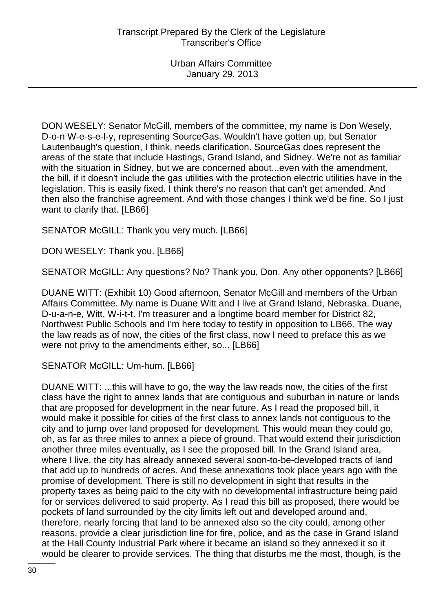DON WESELY: Senator McGill, members of the committee, my name is Don Wesely, D-o-n W-e-s-e-l-y, representing SourceGas. Wouldn't have gotten up, but Senator Lautenbaugh's question, I think, needs clarification. SourceGas does represent the areas of the state that include Hastings, Grand Island, and Sidney. We're not as familiar with the situation in Sidney, but we are concerned about...even with the amendment, the bill, if it doesn't include the gas utilities with the protection electric utilities have in the legislation. This is easily fixed. I think there's no reason that can't get amended. And then also the franchise agreement. And with those changes I think we'd be fine. So I just want to clarify that. [LB66]

SENATOR McGILL: Thank you very much. [LB66]

DON WESELY: Thank you. [LB66]

SENATOR McGILL: Any questions? No? Thank you, Don. Any other opponents? [LB66]

DUANE WITT: (Exhibit 10) Good afternoon, Senator McGill and members of the Urban Affairs Committee. My name is Duane Witt and I live at Grand Island, Nebraska. Duane, D-u-a-n-e, Witt, W-i-t-t. I'm treasurer and a longtime board member for District 82, Northwest Public Schools and I'm here today to testify in opposition to LB66. The way the law reads as of now, the cities of the first class, now I need to preface this as we were not privy to the amendments either, so... [LB66]

SENATOR McGILL: Um-hum. [LB66]

DUANE WITT: ...this will have to go, the way the law reads now, the cities of the first class have the right to annex lands that are contiguous and suburban in nature or lands that are proposed for development in the near future. As I read the proposed bill, it would make it possible for cities of the first class to annex lands not contiguous to the city and to jump over land proposed for development. This would mean they could go, oh, as far as three miles to annex a piece of ground. That would extend their jurisdiction another three miles eventually, as I see the proposed bill. In the Grand Island area, where I live, the city has already annexed several soon-to-be-developed tracts of land that add up to hundreds of acres. And these annexations took place years ago with the promise of development. There is still no development in sight that results in the property taxes as being paid to the city with no developmental infrastructure being paid for or services delivered to said property. As I read this bill as proposed, there would be pockets of land surrounded by the city limits left out and developed around and, therefore, nearly forcing that land to be annexed also so the city could, among other reasons, provide a clear jurisdiction line for fire, police, and as the case in Grand Island at the Hall County Industrial Park where it became an island so they annexed it so it would be clearer to provide services. The thing that disturbs me the most, though, is the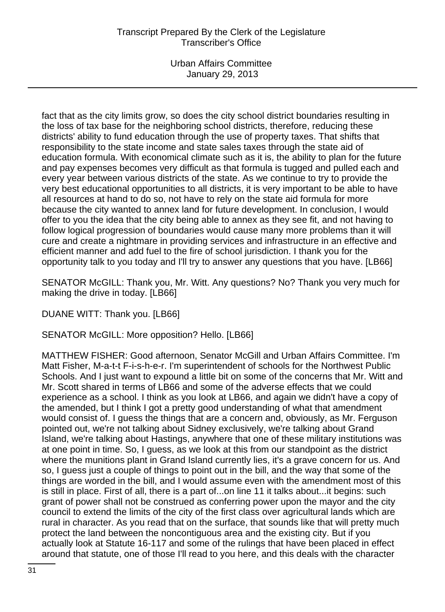Urban Affairs Committee January 29, 2013

fact that as the city limits grow, so does the city school district boundaries resulting in the loss of tax base for the neighboring school districts, therefore, reducing these districts' ability to fund education through the use of property taxes. That shifts that responsibility to the state income and state sales taxes through the state aid of education formula. With economical climate such as it is, the ability to plan for the future and pay expenses becomes very difficult as that formula is tugged and pulled each and every year between various districts of the state. As we continue to try to provide the very best educational opportunities to all districts, it is very important to be able to have all resources at hand to do so, not have to rely on the state aid formula for more because the city wanted to annex land for future development. In conclusion, I would offer to you the idea that the city being able to annex as they see fit, and not having to follow logical progression of boundaries would cause many more problems than it will cure and create a nightmare in providing services and infrastructure in an effective and efficient manner and add fuel to the fire of school jurisdiction. I thank you for the opportunity talk to you today and I'll try to answer any questions that you have. [LB66]

SENATOR McGILL: Thank you, Mr. Witt. Any questions? No? Thank you very much for making the drive in today. [LB66]

DUANE WITT: Thank you. [LB66]

SENATOR McGILL: More opposition? Hello. [LB66]

MATTHEW FISHER: Good afternoon, Senator McGill and Urban Affairs Committee. I'm Matt Fisher, M-a-t-t F-i-s-h-e-r. I'm superintendent of schools for the Northwest Public Schools. And I just want to expound a little bit on some of the concerns that Mr. Witt and Mr. Scott shared in terms of LB66 and some of the adverse effects that we could experience as a school. I think as you look at LB66, and again we didn't have a copy of the amended, but I think I got a pretty good understanding of what that amendment would consist of. I guess the things that are a concern and, obviously, as Mr. Ferguson pointed out, we're not talking about Sidney exclusively, we're talking about Grand Island, we're talking about Hastings, anywhere that one of these military institutions was at one point in time. So, I guess, as we look at this from our standpoint as the district where the munitions plant in Grand Island currently lies, it's a grave concern for us. And so, I guess just a couple of things to point out in the bill, and the way that some of the things are worded in the bill, and I would assume even with the amendment most of this is still in place. First of all, there is a part of...on line 11 it talks about...it begins: such grant of power shall not be construed as conferring power upon the mayor and the city council to extend the limits of the city of the first class over agricultural lands which are rural in character. As you read that on the surface, that sounds like that will pretty much protect the land between the noncontiguous area and the existing city. But if you actually look at Statute 16-117 and some of the rulings that have been placed in effect around that statute, one of those I'll read to you here, and this deals with the character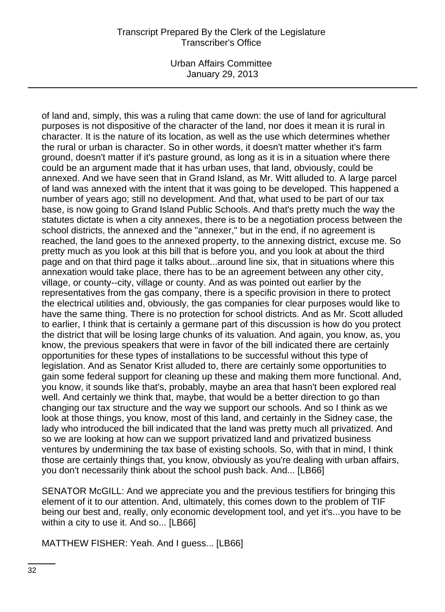Urban Affairs Committee January 29, 2013

of land and, simply, this was a ruling that came down: the use of land for agricultural purposes is not dispositive of the character of the land, nor does it mean it is rural in character. It is the nature of its location, as well as the use which determines whether the rural or urban is character. So in other words, it doesn't matter whether it's farm ground, doesn't matter if it's pasture ground, as long as it is in a situation where there could be an argument made that it has urban uses, that land, obviously, could be annexed. And we have seen that in Grand Island, as Mr. Witt alluded to. A large parcel of land was annexed with the intent that it was going to be developed. This happened a number of years ago; still no development. And that, what used to be part of our tax base, is now going to Grand Island Public Schools. And that's pretty much the way the statutes dictate is when a city annexes, there is to be a negotiation process between the school districts, the annexed and the "annexer," but in the end, if no agreement is reached, the land goes to the annexed property, to the annexing district, excuse me. So pretty much as you look at this bill that is before you, and you look at about the third page and on that third page it talks about...around line six, that in situations where this annexation would take place, there has to be an agreement between any other city, village, or county--city, village or county. And as was pointed out earlier by the representatives from the gas company, there is a specific provision in there to protect the electrical utilities and, obviously, the gas companies for clear purposes would like to have the same thing. There is no protection for school districts. And as Mr. Scott alluded to earlier, I think that is certainly a germane part of this discussion is how do you protect the district that will be losing large chunks of its valuation. And again, you know, as, you know, the previous speakers that were in favor of the bill indicated there are certainly opportunities for these types of installations to be successful without this type of legislation. And as Senator Krist alluded to, there are certainly some opportunities to gain some federal support for cleaning up these and making them more functional. And, you know, it sounds like that's, probably, maybe an area that hasn't been explored real well. And certainly we think that, maybe, that would be a better direction to go than changing our tax structure and the way we support our schools. And so I think as we look at those things, you know, most of this land, and certainly in the Sidney case, the lady who introduced the bill indicated that the land was pretty much all privatized. And so we are looking at how can we support privatized land and privatized business ventures by undermining the tax base of existing schools. So, with that in mind, I think those are certainly things that, you know, obviously as you're dealing with urban affairs, you don't necessarily think about the school push back. And... [LB66]

SENATOR McGILL: And we appreciate you and the previous testifiers for bringing this element of it to our attention. And, ultimately, this comes down to the problem of TIF being our best and, really, only economic development tool, and yet it's...you have to be within a city to use it. And so... [LB66]

MATTHEW FISHER: Yeah. And I guess... [LB66]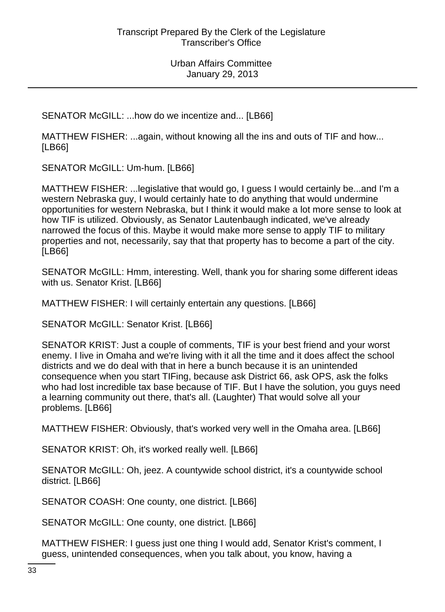SENATOR McGILL: ...how do we incentize and... [LB66]

MATTHEW FISHER: ...again, without knowing all the ins and outs of TIF and how... [LB66]

SENATOR McGILL: Um-hum. [LB66]

MATTHEW FISHER: ...legislative that would go, I guess I would certainly be...and I'm a western Nebraska guy, I would certainly hate to do anything that would undermine opportunities for western Nebraska, but I think it would make a lot more sense to look at how TIF is utilized. Obviously, as Senator Lautenbaugh indicated, we've already narrowed the focus of this. Maybe it would make more sense to apply TIF to military properties and not, necessarily, say that that property has to become a part of the city. [LB66]

SENATOR McGILL: Hmm, interesting. Well, thank you for sharing some different ideas with us. Senator Krist. [LB66]

MATTHEW FISHER: I will certainly entertain any questions. [LB66]

SENATOR McGILL: Senator Krist. [LB66]

SENATOR KRIST: Just a couple of comments, TIF is your best friend and your worst enemy. I live in Omaha and we're living with it all the time and it does affect the school districts and we do deal with that in here a bunch because it is an unintended consequence when you start TIFing, because ask District 66, ask OPS, ask the folks who had lost incredible tax base because of TIF. But I have the solution, you guys need a learning community out there, that's all. (Laughter) That would solve all your problems. [LB66]

MATTHEW FISHER: Obviously, that's worked very well in the Omaha area. [LB66]

SENATOR KRIST: Oh, it's worked really well. [LB66]

SENATOR McGILL: Oh, jeez. A countywide school district, it's a countywide school district. [LB66]

SENATOR COASH: One county, one district. [LB66]

SENATOR McGILL: One county, one district. [LB66]

MATTHEW FISHER: I guess just one thing I would add, Senator Krist's comment, I guess, unintended consequences, when you talk about, you know, having a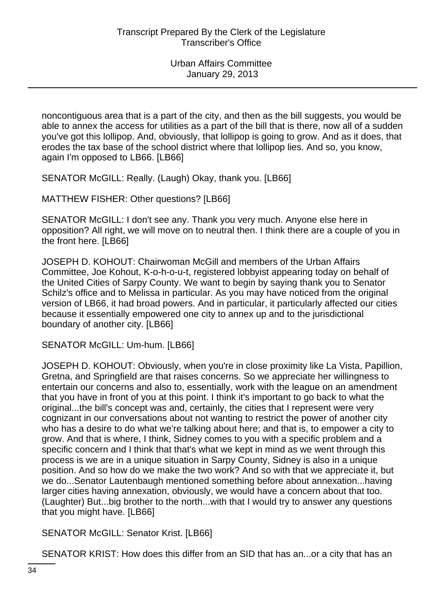noncontiguous area that is a part of the city, and then as the bill suggests, you would be able to annex the access for utilities as a part of the bill that is there, now all of a sudden you've got this lollipop. And, obviously, that lollipop is going to grow. And as it does, that erodes the tax base of the school district where that lollipop lies. And so, you know, again I'm opposed to LB66. [LB66]

SENATOR McGILL: Really. (Laugh) Okay, thank you. [LB66]

MATTHEW FISHER: Other questions? [LB66]

SENATOR McGILL: I don't see any. Thank you very much. Anyone else here in opposition? All right, we will move on to neutral then. I think there are a couple of you in the front here. [LB66]

JOSEPH D. KOHOUT: Chairwoman McGill and members of the Urban Affairs Committee, Joe Kohout, K-o-h-o-u-t, registered lobbyist appearing today on behalf of the United Cities of Sarpy County. We want to begin by saying thank you to Senator Schilz's office and to Melissa in particular. As you may have noticed from the original version of LB66, it had broad powers. And in particular, it particularly affected our cities because it essentially empowered one city to annex up and to the jurisdictional boundary of another city. [LB66]

SENATOR McGILL: Um-hum. [LB66]

JOSEPH D. KOHOUT: Obviously, when you're in close proximity like La Vista, Papillion, Gretna, and Springfield are that raises concerns. So we appreciate her willingness to entertain our concerns and also to, essentially, work with the league on an amendment that you have in front of you at this point. I think it's important to go back to what the original...the bill's concept was and, certainly, the cities that I represent were very cognizant in our conversations about not wanting to restrict the power of another city who has a desire to do what we're talking about here; and that is, to empower a city to grow. And that is where, I think, Sidney comes to you with a specific problem and a specific concern and I think that that's what we kept in mind as we went through this process is we are in a unique situation in Sarpy County, Sidney is also in a unique position. And so how do we make the two work? And so with that we appreciate it, but we do...Senator Lautenbaugh mentioned something before about annexation...having larger cities having annexation, obviously, we would have a concern about that too. (Laughter) But...big brother to the north...with that I would try to answer any questions that you might have. [LB66]

SENATOR McGILL: Senator Krist. [LB66]

SENATOR KRIST: How does this differ from an SID that has an...or a city that has an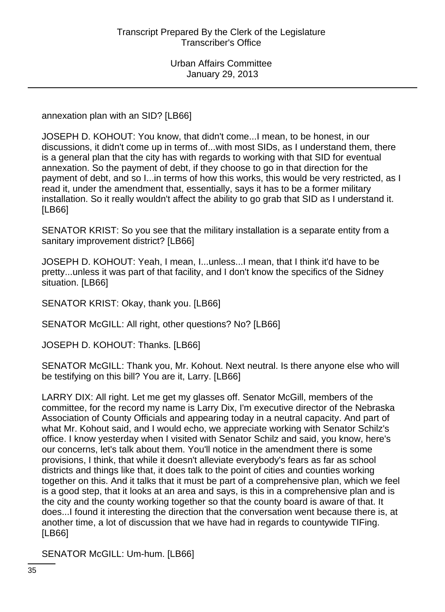annexation plan with an SID? [LB66]

JOSEPH D. KOHOUT: You know, that didn't come...I mean, to be honest, in our discussions, it didn't come up in terms of...with most SIDs, as I understand them, there is a general plan that the city has with regards to working with that SID for eventual annexation. So the payment of debt, if they choose to go in that direction for the payment of debt, and so I...in terms of how this works, this would be very restricted, as I read it, under the amendment that, essentially, says it has to be a former military installation. So it really wouldn't affect the ability to go grab that SID as I understand it. [LB66]

SENATOR KRIST: So you see that the military installation is a separate entity from a sanitary improvement district? [LB66]

JOSEPH D. KOHOUT: Yeah, I mean, I...unless...I mean, that I think it'd have to be pretty...unless it was part of that facility, and I don't know the specifics of the Sidney situation. [LB66]

SENATOR KRIST: Okay, thank you. [LB66]

SENATOR McGILL: All right, other questions? No? [LB66]

JOSEPH D. KOHOUT: Thanks. [LB66]

SENATOR McGILL: Thank you, Mr. Kohout. Next neutral. Is there anyone else who will be testifying on this bill? You are it, Larry. [LB66]

LARRY DIX: All right. Let me get my glasses off. Senator McGill, members of the committee, for the record my name is Larry Dix, I'm executive director of the Nebraska Association of County Officials and appearing today in a neutral capacity. And part of what Mr. Kohout said, and I would echo, we appreciate working with Senator Schilz's office. I know yesterday when I visited with Senator Schilz and said, you know, here's our concerns, let's talk about them. You'll notice in the amendment there is some provisions, I think, that while it doesn't alleviate everybody's fears as far as school districts and things like that, it does talk to the point of cities and counties working together on this. And it talks that it must be part of a comprehensive plan, which we feel is a good step, that it looks at an area and says, is this in a comprehensive plan and is the city and the county working together so that the county board is aware of that. It does...I found it interesting the direction that the conversation went because there is, at another time, a lot of discussion that we have had in regards to countywide TIFing. [LB66]

SENATOR McGILL: Um-hum. [LB66]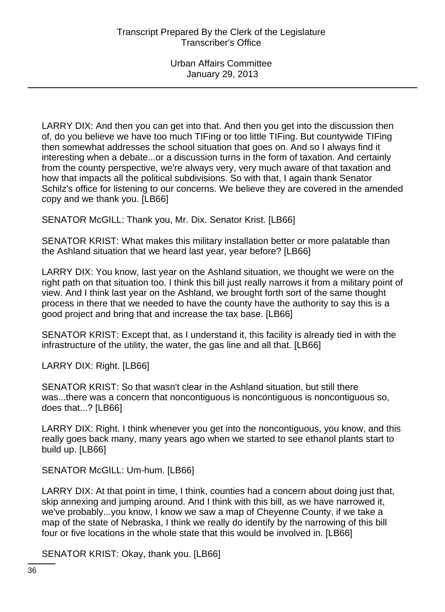LARRY DIX: And then you can get into that. And then you get into the discussion then of, do you believe we have too much TIFing or too little TIFing. But countywide TIFing then somewhat addresses the school situation that goes on. And so I always find it interesting when a debate...or a discussion turns in the form of taxation. And certainly from the county perspective, we're always very, very much aware of that taxation and how that impacts all the political subdivisions. So with that, I again thank Senator Schilz's office for listening to our concerns. We believe they are covered in the amended copy and we thank you. [LB66]

SENATOR McGILL: Thank you, Mr. Dix. Senator Krist. [LB66]

SENATOR KRIST: What makes this military installation better or more palatable than the Ashland situation that we heard last year, year before? [LB66]

LARRY DIX: You know, last year on the Ashland situation, we thought we were on the right path on that situation too. I think this bill just really narrows it from a military point of view. And I think last year on the Ashland, we brought forth sort of the same thought process in there that we needed to have the county have the authority to say this is a good project and bring that and increase the tax base. [LB66]

SENATOR KRIST: Except that, as I understand it, this facility is already tied in with the infrastructure of the utility, the water, the gas line and all that. [LB66]

LARRY DIX: Right. [LB66]

SENATOR KRIST: So that wasn't clear in the Ashland situation, but still there was...there was a concern that noncontiguous is noncontiguous is noncontiguous so, does that...? [LB66]

LARRY DIX: Right. I think whenever you get into the noncontiguous, you know, and this really goes back many, many years ago when we started to see ethanol plants start to build up. [LB66]

SENATOR McGILL: Um-hum. [LB66]

LARRY DIX: At that point in time, I think, counties had a concern about doing just that, skip annexing and jumping around. And I think with this bill, as we have narrowed it, we've probably...you know, I know we saw a map of Cheyenne County, if we take a map of the state of Nebraska, I think we really do identify by the narrowing of this bill four or five locations in the whole state that this would be involved in. [LB66]

SENATOR KRIST: Okay, thank you. [LB66]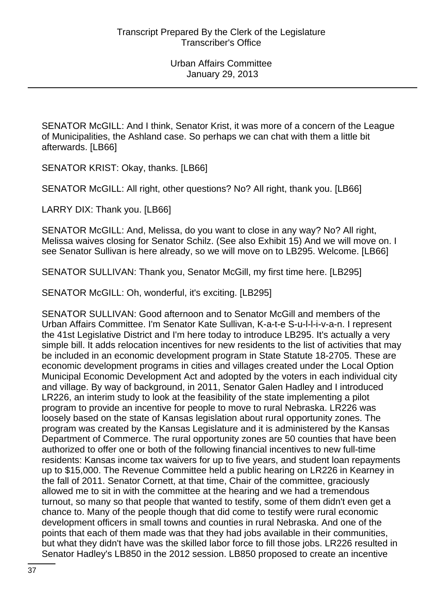SENATOR McGILL: And I think, Senator Krist, it was more of a concern of the League of Municipalities, the Ashland case. So perhaps we can chat with them a little bit afterwards. [LB66]

SENATOR KRIST: Okay, thanks. [LB66]

SENATOR McGILL: All right, other questions? No? All right, thank you. [LB66]

LARRY DIX: Thank you. [LB66]

SENATOR McGILL: And, Melissa, do you want to close in any way? No? All right, Melissa waives closing for Senator Schilz. (See also Exhibit 15) And we will move on. I see Senator Sullivan is here already, so we will move on to LB295. Welcome. [LB66]

SENATOR SULLIVAN: Thank you, Senator McGill, my first time here. [LB295]

SENATOR McGILL: Oh, wonderful, it's exciting. [LB295]

SENATOR SULLIVAN: Good afternoon and to Senator McGill and members of the Urban Affairs Committee. I'm Senator Kate Sullivan, K-a-t-e S-u-l-l-i-v-a-n. I represent the 41st Legislative District and I'm here today to introduce LB295. It's actually a very simple bill. It adds relocation incentives for new residents to the list of activities that may be included in an economic development program in State Statute 18-2705. These are economic development programs in cities and villages created under the Local Option Municipal Economic Development Act and adopted by the voters in each individual city and village. By way of background, in 2011, Senator Galen Hadley and I introduced LR226, an interim study to look at the feasibility of the state implementing a pilot program to provide an incentive for people to move to rural Nebraska. LR226 was loosely based on the state of Kansas legislation about rural opportunity zones. The program was created by the Kansas Legislature and it is administered by the Kansas Department of Commerce. The rural opportunity zones are 50 counties that have been authorized to offer one or both of the following financial incentives to new full-time residents: Kansas income tax waivers for up to five years, and student loan repayments up to \$15,000. The Revenue Committee held a public hearing on LR226 in Kearney in the fall of 2011. Senator Cornett, at that time, Chair of the committee, graciously allowed me to sit in with the committee at the hearing and we had a tremendous turnout, so many so that people that wanted to testify, some of them didn't even get a chance to. Many of the people though that did come to testify were rural economic development officers in small towns and counties in rural Nebraska. And one of the points that each of them made was that they had jobs available in their communities, but what they didn't have was the skilled labor force to fill those jobs. LR226 resulted in Senator Hadley's LB850 in the 2012 session. LB850 proposed to create an incentive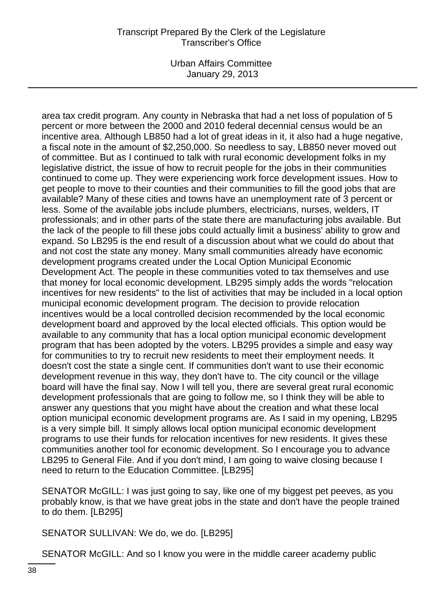Urban Affairs Committee January 29, 2013

area tax credit program. Any county in Nebraska that had a net loss of population of 5 percent or more between the 2000 and 2010 federal decennial census would be an incentive area. Although LB850 had a lot of great ideas in it, it also had a huge negative, a fiscal note in the amount of \$2,250,000. So needless to say, LB850 never moved out of committee. But as I continued to talk with rural economic development folks in my legislative district, the issue of how to recruit people for the jobs in their communities continued to come up. They were experiencing work force development issues. How to get people to move to their counties and their communities to fill the good jobs that are available? Many of these cities and towns have an unemployment rate of 3 percent or less. Some of the available jobs include plumbers, electricians, nurses, welders, IT professionals; and in other parts of the state there are manufacturing jobs available. But the lack of the people to fill these jobs could actually limit a business' ability to grow and expand. So LB295 is the end result of a discussion about what we could do about that and not cost the state any money. Many small communities already have economic development programs created under the Local Option Municipal Economic Development Act. The people in these communities voted to tax themselves and use that money for local economic development. LB295 simply adds the words "relocation incentives for new residents" to the list of activities that may be included in a local option municipal economic development program. The decision to provide relocation incentives would be a local controlled decision recommended by the local economic development board and approved by the local elected officials. This option would be available to any community that has a local option municipal economic development program that has been adopted by the voters. LB295 provides a simple and easy way for communities to try to recruit new residents to meet their employment needs. It doesn't cost the state a single cent. If communities don't want to use their economic development revenue in this way, they don't have to. The city council or the village board will have the final say. Now I will tell you, there are several great rural economic development professionals that are going to follow me, so I think they will be able to answer any questions that you might have about the creation and what these local option municipal economic development programs are. As I said in my opening, LB295 is a very simple bill. It simply allows local option municipal economic development programs to use their funds for relocation incentives for new residents. It gives these communities another tool for economic development. So I encourage you to advance LB295 to General File. And if you don't mind, I am going to waive closing because I need to return to the Education Committee. [LB295]

SENATOR McGILL: I was just going to say, like one of my biggest pet peeves, as you probably know, is that we have great jobs in the state and don't have the people trained to do them. [LB295]

SENATOR SULLIVAN: We do, we do. [LB295]

SENATOR McGILL: And so I know you were in the middle career academy public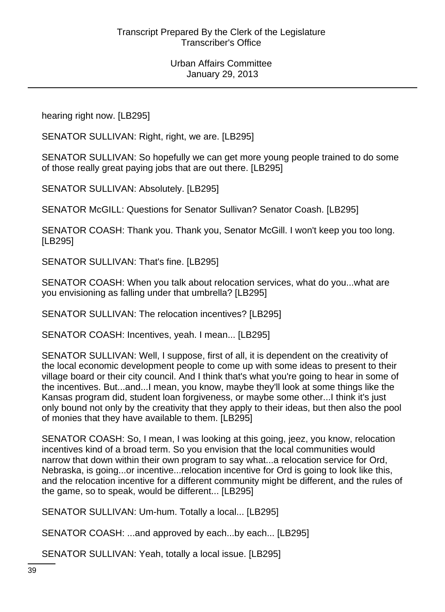hearing right now. [LB295]

SENATOR SULLIVAN: Right, right, we are. [LB295]

SENATOR SULLIVAN: So hopefully we can get more young people trained to do some of those really great paying jobs that are out there. [LB295]

SENATOR SULLIVAN: Absolutely. [LB295]

SENATOR McGILL: Questions for Senator Sullivan? Senator Coash. [LB295]

SENATOR COASH: Thank you. Thank you, Senator McGill. I won't keep you too long. [LB295]

SENATOR SULLIVAN: That's fine. [LB295]

SENATOR COASH: When you talk about relocation services, what do you...what are you envisioning as falling under that umbrella? [LB295]

SENATOR SULLIVAN: The relocation incentives? [LB295]

SENATOR COASH: Incentives, yeah. I mean... [LB295]

SENATOR SULLIVAN: Well, I suppose, first of all, it is dependent on the creativity of the local economic development people to come up with some ideas to present to their village board or their city council. And I think that's what you're going to hear in some of the incentives. But...and...I mean, you know, maybe they'll look at some things like the Kansas program did, student loan forgiveness, or maybe some other...I think it's just only bound not only by the creativity that they apply to their ideas, but then also the pool of monies that they have available to them. [LB295]

SENATOR COASH: So, I mean, I was looking at this going, jeez, you know, relocation incentives kind of a broad term. So you envision that the local communities would narrow that down within their own program to say what...a relocation service for Ord, Nebraska, is going...or incentive...relocation incentive for Ord is going to look like this, and the relocation incentive for a different community might be different, and the rules of the game, so to speak, would be different... [LB295]

SENATOR SULLIVAN: Um-hum. Totally a local... [LB295]

SENATOR COASH: ...and approved by each...by each... [LB295]

SENATOR SULLIVAN: Yeah, totally a local issue. [LB295]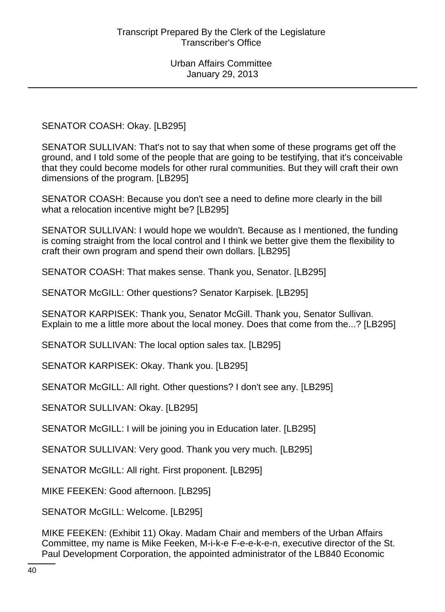## SENATOR COASH: Okay. [LB295]

SENATOR SULLIVAN: That's not to say that when some of these programs get off the ground, and I told some of the people that are going to be testifying, that it's conceivable that they could become models for other rural communities. But they will craft their own dimensions of the program. [LB295]

SENATOR COASH: Because you don't see a need to define more clearly in the bill what a relocation incentive might be? [LB295]

SENATOR SULLIVAN: I would hope we wouldn't. Because as I mentioned, the funding is coming straight from the local control and I think we better give them the flexibility to craft their own program and spend their own dollars. [LB295]

SENATOR COASH: That makes sense. Thank you, Senator. [LB295]

SENATOR McGILL: Other questions? Senator Karpisek. [LB295]

SENATOR KARPISEK: Thank you, Senator McGill. Thank you, Senator Sullivan. Explain to me a little more about the local money. Does that come from the...? [LB295]

SENATOR SULLIVAN: The local option sales tax. [LB295]

SENATOR KARPISEK: Okay. Thank you. [LB295]

SENATOR McGILL: All right. Other questions? I don't see any. [LB295]

SENATOR SULLIVAN: Okay. [LB295]

SENATOR McGILL: I will be joining you in Education later. [LB295]

SENATOR SULLIVAN: Very good. Thank you very much. [LB295]

SENATOR McGILL: All right. First proponent. [LB295]

MIKE FEEKEN: Good afternoon. [LB295]

SENATOR McGILL: Welcome. [LB295]

MIKE FEEKEN: (Exhibit 11) Okay. Madam Chair and members of the Urban Affairs Committee, my name is Mike Feeken, M-i-k-e F-e-e-k-e-n, executive director of the St. Paul Development Corporation, the appointed administrator of the LB840 Economic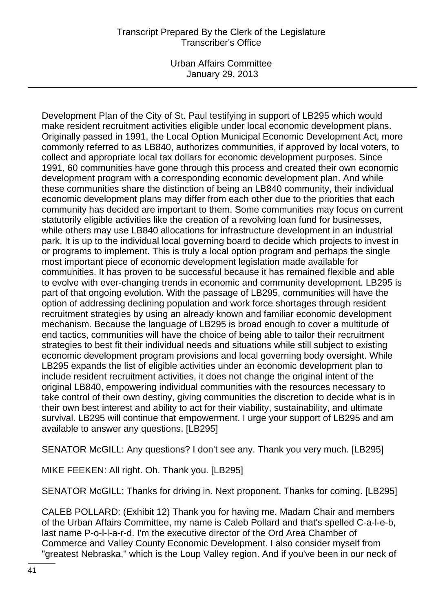Urban Affairs Committee January 29, 2013

Development Plan of the City of St. Paul testifying in support of LB295 which would make resident recruitment activities eligible under local economic development plans. Originally passed in 1991, the Local Option Municipal Economic Development Act, more commonly referred to as LB840, authorizes communities, if approved by local voters, to collect and appropriate local tax dollars for economic development purposes. Since 1991, 60 communities have gone through this process and created their own economic development program with a corresponding economic development plan. And while these communities share the distinction of being an LB840 community, their individual economic development plans may differ from each other due to the priorities that each community has decided are important to them. Some communities may focus on current statutorily eligible activities like the creation of a revolving loan fund for businesses, while others may use LB840 allocations for infrastructure development in an industrial park. It is up to the individual local governing board to decide which projects to invest in or programs to implement. This is truly a local option program and perhaps the single most important piece of economic development legislation made available for communities. It has proven to be successful because it has remained flexible and able to evolve with ever-changing trends in economic and community development. LB295 is part of that ongoing evolution. With the passage of LB295, communities will have the option of addressing declining population and work force shortages through resident recruitment strategies by using an already known and familiar economic development mechanism. Because the language of LB295 is broad enough to cover a multitude of end tactics, communities will have the choice of being able to tailor their recruitment strategies to best fit their individual needs and situations while still subject to existing economic development program provisions and local governing body oversight. While LB295 expands the list of eligible activities under an economic development plan to include resident recruitment activities, it does not change the original intent of the original LB840, empowering individual communities with the resources necessary to take control of their own destiny, giving communities the discretion to decide what is in their own best interest and ability to act for their viability, sustainability, and ultimate survival. LB295 will continue that empowerment. I urge your support of LB295 and am available to answer any questions. [LB295]

SENATOR McGILL: Any questions? I don't see any. Thank you very much. [LB295]

MIKE FEEKEN: All right. Oh. Thank you. [LB295]

SENATOR McGILL: Thanks for driving in. Next proponent. Thanks for coming. [LB295]

CALEB POLLARD: (Exhibit 12) Thank you for having me. Madam Chair and members of the Urban Affairs Committee, my name is Caleb Pollard and that's spelled C-a-l-e-b, last name P-o-l-l-a-r-d. I'm the executive director of the Ord Area Chamber of Commerce and Valley County Economic Development. I also consider myself from "greatest Nebraska," which is the Loup Valley region. And if you've been in our neck of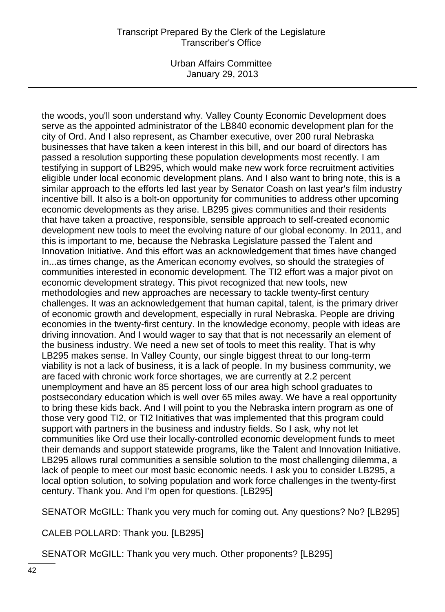Urban Affairs Committee January 29, 2013

the woods, you'll soon understand why. Valley County Economic Development does serve as the appointed administrator of the LB840 economic development plan for the city of Ord. And I also represent, as Chamber executive, over 200 rural Nebraska businesses that have taken a keen interest in this bill, and our board of directors has passed a resolution supporting these population developments most recently. I am testifying in support of LB295, which would make new work force recruitment activities eligible under local economic development plans. And I also want to bring note, this is a similar approach to the efforts led last year by Senator Coash on last year's film industry incentive bill. It also is a bolt-on opportunity for communities to address other upcoming economic developments as they arise. LB295 gives communities and their residents that have taken a proactive, responsible, sensible approach to self-created economic development new tools to meet the evolving nature of our global economy. In 2011, and this is important to me, because the Nebraska Legislature passed the Talent and Innovation Initiative. And this effort was an acknowledgement that times have changed in...as times change, as the American economy evolves, so should the strategies of communities interested in economic development. The TI2 effort was a major pivot on economic development strategy. This pivot recognized that new tools, new methodologies and new approaches are necessary to tackle twenty-first century challenges. It was an acknowledgement that human capital, talent, is the primary driver of economic growth and development, especially in rural Nebraska. People are driving economies in the twenty-first century. In the knowledge economy, people with ideas are driving innovation. And I would wager to say that that is not necessarily an element of the business industry. We need a new set of tools to meet this reality. That is why LB295 makes sense. In Valley County, our single biggest threat to our long-term viability is not a lack of business, it is a lack of people. In my business community, we are faced with chronic work force shortages, we are currently at 2.2 percent unemployment and have an 85 percent loss of our area high school graduates to postsecondary education which is well over 65 miles away. We have a real opportunity to bring these kids back. And I will point to you the Nebraska intern program as one of those very good TI2, or TI2 Initiatives that was implemented that this program could support with partners in the business and industry fields. So I ask, why not let communities like Ord use their locally-controlled economic development funds to meet their demands and support statewide programs, like the Talent and Innovation Initiative. LB295 allows rural communities a sensible solution to the most challenging dilemma, a lack of people to meet our most basic economic needs. I ask you to consider LB295, a local option solution, to solving population and work force challenges in the twenty-first century. Thank you. And I'm open for questions. [LB295]

SENATOR McGILL: Thank you very much for coming out. Any questions? No? [LB295]

CALEB POLLARD: Thank you. [LB295]

SENATOR McGILL: Thank you very much. Other proponents? [LB295]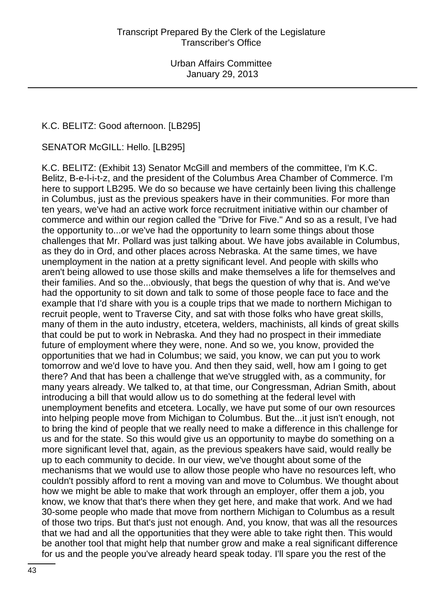#### K.C. BELITZ: Good afternoon. [LB295]

SENATOR McGILL: Hello. [LB295]

K.C. BELITZ: (Exhibit 13) Senator McGill and members of the committee, I'm K.C. Belitz, B-e-l-i-t-z, and the president of the Columbus Area Chamber of Commerce. I'm here to support LB295. We do so because we have certainly been living this challenge in Columbus, just as the previous speakers have in their communities. For more than ten years, we've had an active work force recruitment initiative within our chamber of commerce and within our region called the "Drive for Five." And so as a result, I've had the opportunity to...or we've had the opportunity to learn some things about those challenges that Mr. Pollard was just talking about. We have jobs available in Columbus, as they do in Ord, and other places across Nebraska. At the same times, we have unemployment in the nation at a pretty significant level. And people with skills who aren't being allowed to use those skills and make themselves a life for themselves and their families. And so the...obviously, that begs the question of why that is. And we've had the opportunity to sit down and talk to some of those people face to face and the example that I'd share with you is a couple trips that we made to northern Michigan to recruit people, went to Traverse City, and sat with those folks who have great skills, many of them in the auto industry, etcetera, welders, machinists, all kinds of great skills that could be put to work in Nebraska. And they had no prospect in their immediate future of employment where they were, none. And so we, you know, provided the opportunities that we had in Columbus; we said, you know, we can put you to work tomorrow and we'd love to have you. And then they said, well, how am I going to get there? And that has been a challenge that we've struggled with, as a community, for many years already. We talked to, at that time, our Congressman, Adrian Smith, about introducing a bill that would allow us to do something at the federal level with unemployment benefits and etcetera. Locally, we have put some of our own resources into helping people move from Michigan to Columbus. But the...it just isn't enough, not to bring the kind of people that we really need to make a difference in this challenge for us and for the state. So this would give us an opportunity to maybe do something on a more significant level that, again, as the previous speakers have said, would really be up to each community to decide. In our view, we've thought about some of the mechanisms that we would use to allow those people who have no resources left, who couldn't possibly afford to rent a moving van and move to Columbus. We thought about how we might be able to make that work through an employer, offer them a job, you know, we know that that's there when they get here, and make that work. And we had 30-some people who made that move from northern Michigan to Columbus as a result of those two trips. But that's just not enough. And, you know, that was all the resources that we had and all the opportunities that they were able to take right then. This would be another tool that might help that number grow and make a real significant difference for us and the people you've already heard speak today. I'll spare you the rest of the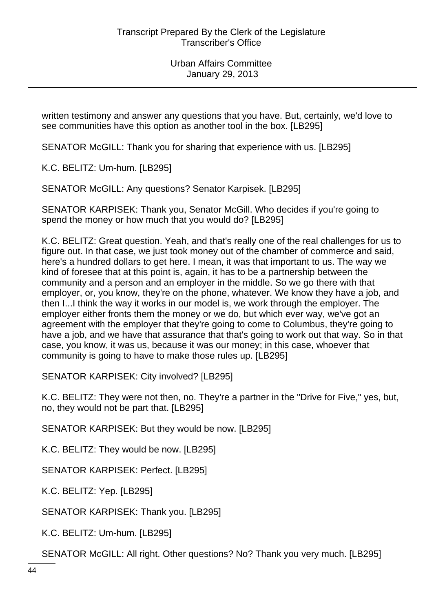written testimony and answer any questions that you have. But, certainly, we'd love to see communities have this option as another tool in the box. [LB295]

SENATOR McGILL: Thank you for sharing that experience with us. [LB295]

K.C. BELITZ: Um-hum. [LB295]

SENATOR McGILL: Any questions? Senator Karpisek. [LB295]

SENATOR KARPISEK: Thank you, Senator McGill. Who decides if you're going to spend the money or how much that you would do? [LB295]

K.C. BELITZ: Great question. Yeah, and that's really one of the real challenges for us to figure out. In that case, we just took money out of the chamber of commerce and said, here's a hundred dollars to get here. I mean, it was that important to us. The way we kind of foresee that at this point is, again, it has to be a partnership between the community and a person and an employer in the middle. So we go there with that employer, or, you know, they're on the phone, whatever. We know they have a job, and then I...I think the way it works in our model is, we work through the employer. The employer either fronts them the money or we do, but which ever way, we've got an agreement with the employer that they're going to come to Columbus, they're going to have a job, and we have that assurance that that's going to work out that way. So in that case, you know, it was us, because it was our money; in this case, whoever that community is going to have to make those rules up. [LB295]

SENATOR KARPISEK: City involved? [LB295]

K.C. BELITZ: They were not then, no. They're a partner in the "Drive for Five," yes, but, no, they would not be part that. [LB295]

SENATOR KARPISEK: But they would be now. [LB295]

K.C. BELITZ: They would be now. [LB295]

SENATOR KARPISEK: Perfect. [LB295]

K.C. BELITZ: Yep. [LB295]

SENATOR KARPISEK: Thank you. [LB295]

K.C. BELITZ: Um-hum. [LB295]

SENATOR McGILL: All right. Other questions? No? Thank you very much. [LB295]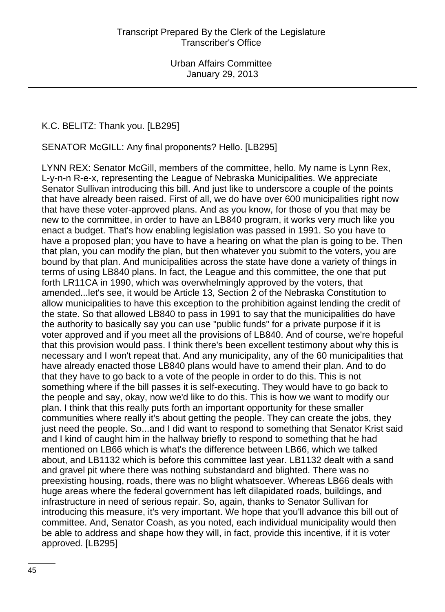#### K.C. BELITZ: Thank you. [LB295]

SENATOR McGILL: Any final proponents? Hello. [LB295]

LYNN REX: Senator McGill, members of the committee, hello. My name is Lynn Rex, L-y-n-n R-e-x, representing the League of Nebraska Municipalities. We appreciate Senator Sullivan introducing this bill. And just like to underscore a couple of the points that have already been raised. First of all, we do have over 600 municipalities right now that have these voter-approved plans. And as you know, for those of you that may be new to the committee, in order to have an LB840 program, it works very much like you enact a budget. That's how enabling legislation was passed in 1991. So you have to have a proposed plan; you have to have a hearing on what the plan is going to be. Then that plan, you can modify the plan, but then whatever you submit to the voters, you are bound by that plan. And municipalities across the state have done a variety of things in terms of using LB840 plans. In fact, the League and this committee, the one that put forth LR11CA in 1990, which was overwhelmingly approved by the voters, that amended...let's see, it would be Article 13, Section 2 of the Nebraska Constitution to allow municipalities to have this exception to the prohibition against lending the credit of the state. So that allowed LB840 to pass in 1991 to say that the municipalities do have the authority to basically say you can use "public funds" for a private purpose if it is voter approved and if you meet all the provisions of LB840. And of course, we're hopeful that this provision would pass. I think there's been excellent testimony about why this is necessary and I won't repeat that. And any municipality, any of the 60 municipalities that have already enacted those LB840 plans would have to amend their plan. And to do that they have to go back to a vote of the people in order to do this. This is not something where if the bill passes it is self-executing. They would have to go back to the people and say, okay, now we'd like to do this. This is how we want to modify our plan. I think that this really puts forth an important opportunity for these smaller communities where really it's about getting the people. They can create the jobs, they just need the people. So...and I did want to respond to something that Senator Krist said and I kind of caught him in the hallway briefly to respond to something that he had mentioned on LB66 which is what's the difference between LB66, which we talked about, and LB1132 which is before this committee last year. LB1132 dealt with a sand and gravel pit where there was nothing substandard and blighted. There was no preexisting housing, roads, there was no blight whatsoever. Whereas LB66 deals with huge areas where the federal government has left dilapidated roads, buildings, and infrastructure in need of serious repair. So, again, thanks to Senator Sullivan for introducing this measure, it's very important. We hope that you'll advance this bill out of committee. And, Senator Coash, as you noted, each individual municipality would then be able to address and shape how they will, in fact, provide this incentive, if it is voter approved. [LB295]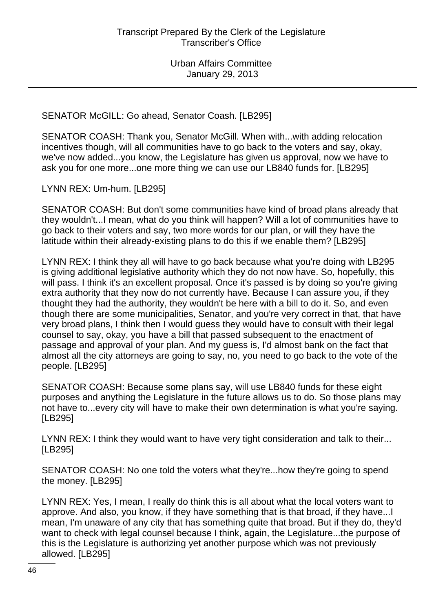SENATOR McGILL: Go ahead, Senator Coash. [LB295]

SENATOR COASH: Thank you, Senator McGill. When with...with adding relocation incentives though, will all communities have to go back to the voters and say, okay, we've now added...you know, the Legislature has given us approval, now we have to ask you for one more...one more thing we can use our LB840 funds for. [LB295]

LYNN REX: Um-hum. [LB295]

SENATOR COASH: But don't some communities have kind of broad plans already that they wouldn't...I mean, what do you think will happen? Will a lot of communities have to go back to their voters and say, two more words for our plan, or will they have the latitude within their already-existing plans to do this if we enable them? [LB295]

LYNN REX: I think they all will have to go back because what you're doing with LB295 is giving additional legislative authority which they do not now have. So, hopefully, this will pass. I think it's an excellent proposal. Once it's passed is by doing so you're giving extra authority that they now do not currently have. Because I can assure you, if they thought they had the authority, they wouldn't be here with a bill to do it. So, and even though there are some municipalities, Senator, and you're very correct in that, that have very broad plans, I think then I would guess they would have to consult with their legal counsel to say, okay, you have a bill that passed subsequent to the enactment of passage and approval of your plan. And my guess is, I'd almost bank on the fact that almost all the city attorneys are going to say, no, you need to go back to the vote of the people. [LB295]

SENATOR COASH: Because some plans say, will use LB840 funds for these eight purposes and anything the Legislature in the future allows us to do. So those plans may not have to...every city will have to make their own determination is what you're saying. [LB295]

LYNN REX: I think they would want to have very tight consideration and talk to their... [LB295]

SENATOR COASH: No one told the voters what they're...how they're going to spend the money. [LB295]

LYNN REX: Yes, I mean, I really do think this is all about what the local voters want to approve. And also, you know, if they have something that is that broad, if they have...I mean, I'm unaware of any city that has something quite that broad. But if they do, they'd want to check with legal counsel because I think, again, the Legislature...the purpose of this is the Legislature is authorizing yet another purpose which was not previously allowed. [LB295]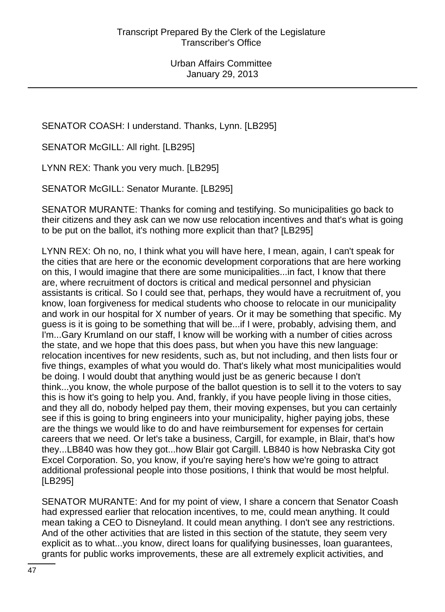SENATOR COASH: I understand. Thanks, Lynn. [LB295]

SENATOR McGILL: All right. [LB295]

LYNN REX: Thank you very much. [LB295]

SENATOR McGILL: Senator Murante. [LB295]

SENATOR MURANTE: Thanks for coming and testifying. So municipalities go back to their citizens and they ask can we now use relocation incentives and that's what is going to be put on the ballot, it's nothing more explicit than that? [LB295]

LYNN REX: Oh no, no, I think what you will have here, I mean, again, I can't speak for the cities that are here or the economic development corporations that are here working on this, I would imagine that there are some municipalities...in fact, I know that there are, where recruitment of doctors is critical and medical personnel and physician assistants is critical. So I could see that, perhaps, they would have a recruitment of, you know, loan forgiveness for medical students who choose to relocate in our municipality and work in our hospital for X number of years. Or it may be something that specific. My guess is it is going to be something that will be...if I were, probably, advising them, and I'm...Gary Krumland on our staff, I know will be working with a number of cities across the state, and we hope that this does pass, but when you have this new language: relocation incentives for new residents, such as, but not including, and then lists four or five things, examples of what you would do. That's likely what most municipalities would be doing. I would doubt that anything would just be as generic because I don't think...you know, the whole purpose of the ballot question is to sell it to the voters to say this is how it's going to help you. And, frankly, if you have people living in those cities, and they all do, nobody helped pay them, their moving expenses, but you can certainly see if this is going to bring engineers into your municipality, higher paying jobs, these are the things we would like to do and have reimbursement for expenses for certain careers that we need. Or let's take a business, Cargill, for example, in Blair, that's how they...LB840 was how they got...how Blair got Cargill. LB840 is how Nebraska City got Excel Corporation. So, you know, if you're saying here's how we're going to attract additional professional people into those positions, I think that would be most helpful. [LB295]

SENATOR MURANTE: And for my point of view, I share a concern that Senator Coash had expressed earlier that relocation incentives, to me, could mean anything. It could mean taking a CEO to Disneyland. It could mean anything. I don't see any restrictions. And of the other activities that are listed in this section of the statute, they seem very explicit as to what...you know, direct loans for qualifying businesses, loan guarantees, grants for public works improvements, these are all extremely explicit activities, and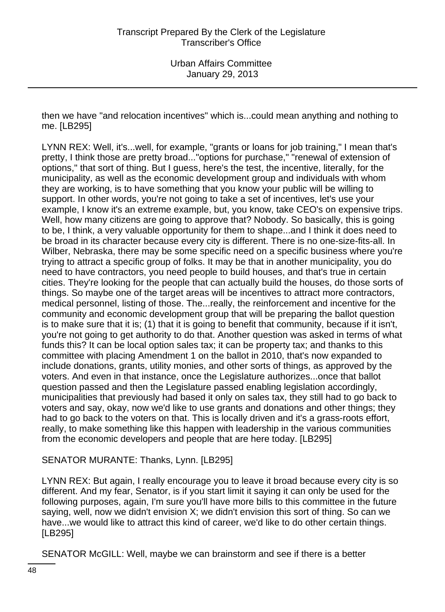then we have "and relocation incentives" which is...could mean anything and nothing to me. [LB295]

LYNN REX: Well, it's...well, for example, "grants or loans for job training," I mean that's pretty, I think those are pretty broad..."options for purchase," "renewal of extension of options," that sort of thing. But I guess, here's the test, the incentive, literally, for the municipality, as well as the economic development group and individuals with whom they are working, is to have something that you know your public will be willing to support. In other words, you're not going to take a set of incentives, let's use your example, I know it's an extreme example, but, you know, take CEO's on expensive trips. Well, how many citizens are going to approve that? Nobody. So basically, this is going to be, I think, a very valuable opportunity for them to shape...and I think it does need to be broad in its character because every city is different. There is no one-size-fits-all. In Wilber, Nebraska, there may be some specific need on a specific business where you're trying to attract a specific group of folks. It may be that in another municipality, you do need to have contractors, you need people to build houses, and that's true in certain cities. They're looking for the people that can actually build the houses, do those sorts of things. So maybe one of the target areas will be incentives to attract more contractors, medical personnel, listing of those. The...really, the reinforcement and incentive for the community and economic development group that will be preparing the ballot question is to make sure that it is; (1) that it is going to benefit that community, because if it isn't, you're not going to get authority to do that. Another question was asked in terms of what funds this? It can be local option sales tax; it can be property tax; and thanks to this committee with placing Amendment 1 on the ballot in 2010, that's now expanded to include donations, grants, utility monies, and other sorts of things, as approved by the voters. And even in that instance, once the Legislature authorizes...once that ballot question passed and then the Legislature passed enabling legislation accordingly, municipalities that previously had based it only on sales tax, they still had to go back to voters and say, okay, now we'd like to use grants and donations and other things; they had to go back to the voters on that. This is locally driven and it's a grass-roots effort, really, to make something like this happen with leadership in the various communities from the economic developers and people that are here today. [LB295]

#### SENATOR MURANTE: Thanks, Lynn. [LB295]

LYNN REX: But again, I really encourage you to leave it broad because every city is so different. And my fear, Senator, is if you start limit it saying it can only be used for the following purposes, again, I'm sure you'll have more bills to this committee in the future saying, well, now we didn't envision X; we didn't envision this sort of thing. So can we have...we would like to attract this kind of career, we'd like to do other certain things. [LB295]

SENATOR McGILL: Well, maybe we can brainstorm and see if there is a better